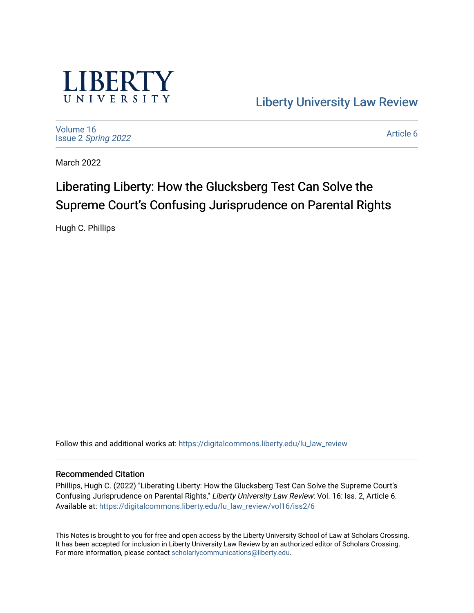

[Liberty University Law Review](https://digitalcommons.liberty.edu/lu_law_review) 

[Volume 16](https://digitalcommons.liberty.edu/lu_law_review/vol16) Issue 2 [Spring 2022](https://digitalcommons.liberty.edu/lu_law_review/vol16/iss2) 

[Article 6](https://digitalcommons.liberty.edu/lu_law_review/vol16/iss2/6) 

March 2022

# Liberating Liberty: How the Glucksberg Test Can Solve the Supreme Court's Confusing Jurisprudence on Parental Rights

Hugh C. Phillips

Follow this and additional works at: [https://digitalcommons.liberty.edu/lu\\_law\\_review](https://digitalcommons.liberty.edu/lu_law_review?utm_source=digitalcommons.liberty.edu%2Flu_law_review%2Fvol16%2Fiss2%2F6&utm_medium=PDF&utm_campaign=PDFCoverPages) 

#### Recommended Citation

Phillips, Hugh C. (2022) "Liberating Liberty: How the Glucksberg Test Can Solve the Supreme Court's Confusing Jurisprudence on Parental Rights," Liberty University Law Review: Vol. 16: Iss. 2, Article 6. Available at: [https://digitalcommons.liberty.edu/lu\\_law\\_review/vol16/iss2/6](https://digitalcommons.liberty.edu/lu_law_review/vol16/iss2/6?utm_source=digitalcommons.liberty.edu%2Flu_law_review%2Fvol16%2Fiss2%2F6&utm_medium=PDF&utm_campaign=PDFCoverPages) 

This Notes is brought to you for free and open access by the Liberty University School of Law at Scholars Crossing. It has been accepted for inclusion in Liberty University Law Review by an authorized editor of Scholars Crossing. For more information, please contact [scholarlycommunications@liberty.edu](mailto:scholarlycommunications@liberty.edu).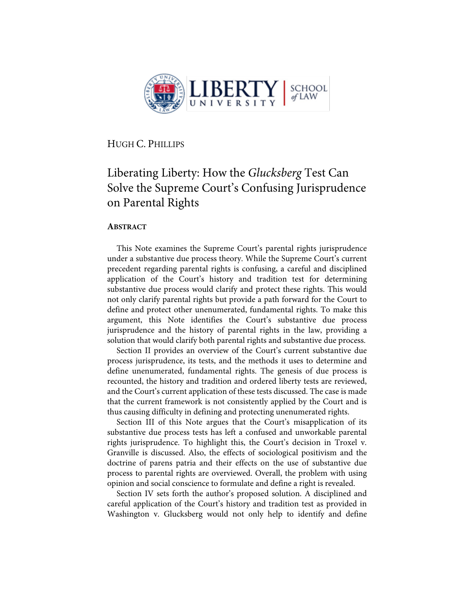

HUGH C. PHILLIPS

# Liberating Liberty: How the *Glucksberg* Test Can Solve the Supreme Court's Confusing Jurisprudence on Parental Rights

## **ABSTRACT**

This Note examines the Supreme Court's parental rights jurisprudence under a substantive due process theory. While the Supreme Court's current precedent regarding parental rights is confusing, a careful and disciplined application of the Court's history and tradition test for determining substantive due process would clarify and protect these rights. This would not only clarify parental rights but provide a path forward for the Court to define and protect other unenumerated, fundamental rights. To make this argument, this Note identifies the Court's substantive due process jurisprudence and the history of parental rights in the law, providing a solution that would clarify both parental rights and substantive due process.

Section II provides an overview of the Court's current substantive due process jurisprudence, its tests, and the methods it uses to determine and define unenumerated, fundamental rights. The genesis of due process is recounted, the history and tradition and ordered liberty tests are reviewed, and the Court's current application of these tests discussed. The case is made that the current framework is not consistently applied by the Court and is thus causing difficulty in defining and protecting unenumerated rights.

Section III of this Note argues that the Court's misapplication of its substantive due process tests has left a confused and unworkable parental rights jurisprudence. To highlight this, the Court's decision in Troxel v. Granville is discussed. Also, the effects of sociological positivism and the doctrine of parens patria and their effects on the use of substantive due process to parental rights are overviewed. Overall, the problem with using opinion and social conscience to formulate and define a right is revealed.

Section IV sets forth the author's proposed solution. A disciplined and careful application of the Court's history and tradition test as provided in Washington v. Glucksberg would not only help to identify and define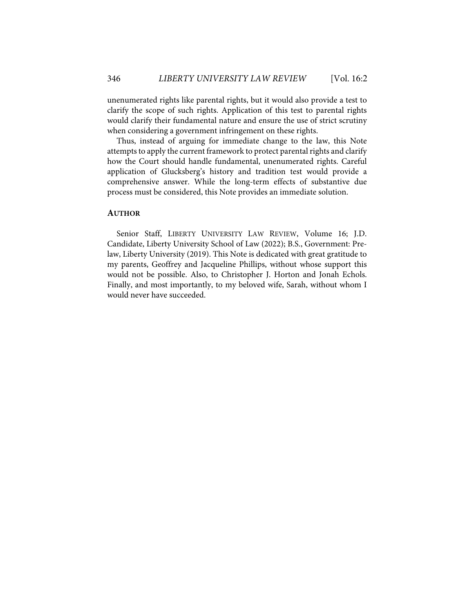unenumerated rights like parental rights, but it would also provide a test to clarify the scope of such rights. Application of this test to parental rights would clarify their fundamental nature and ensure the use of strict scrutiny when considering a government infringement on these rights.

Thus, instead of arguing for immediate change to the law, this Note attempts to apply the current framework to protect parental rights and clarify how the Court should handle fundamental, unenumerated rights. Careful application of Glucksberg's history and tradition test would provide a comprehensive answer. While the long-term effects of substantive due process must be considered, this Note provides an immediate solution.

# **AUTHOR**

Senior Staff, LIBERTY UNIVERSITY LAW REVIEW, Volume 16; J.D. Candidate, Liberty University School of Law (2022); B.S., Government: Prelaw, Liberty University (2019). This Note is dedicated with great gratitude to my parents, Geoffrey and Jacqueline Phillips, without whose support this would not be possible. Also, to Christopher J. Horton and Jonah Echols. Finally, and most importantly, to my beloved wife, Sarah, without whom I would never have succeeded.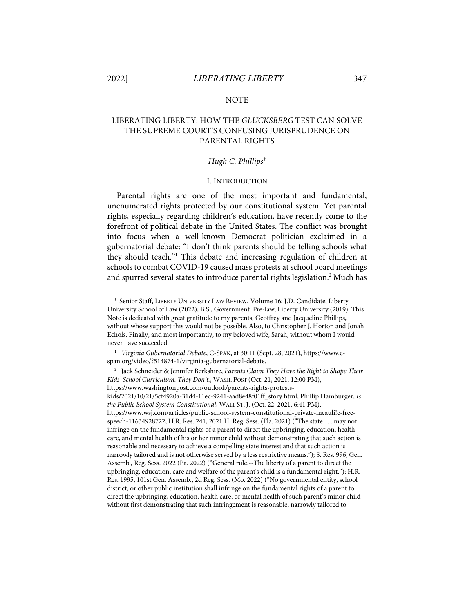#### NOTE

# LIBERATING LIBERTY: HOW THE *GLUCKSBERG* TEST CAN SOLVE THE SUPREME COURT'S CONFUSING JURISPRUDENCE ON PARENTAL RIGHTS

#### *Hugh C. Phillips*†

#### I. INTRODUCTION

Parental rights are one of the most important and fundamental, unenumerated rights protected by our constitutional system. Yet parental rights, especially regarding children's education, have recently come to the forefront of political debate in the United States. The conflict was brought into focus when a well-known Democrat politician exclaimed in a gubernatorial debate: "I don't think parents should be telling schools what they should teach."1 This debate and increasing regulation of children at schools to combat COVID-19 caused mass protests at school board meetings and spurred several states to introduce parental rights legislation.<sup>2</sup> Much has

<sup>†</sup> Senior Staff, LIBERTY UNIVERSITY LAW REVIEW, Volume 16; J.D. Candidate, Liberty University School of Law (2022); B.S., Government: Pre-law, Liberty University (2019). This Note is dedicated with great gratitude to my parents, Geoffrey and Jacqueline Phillips, without whose support this would not be possible. Also, to Christopher J. Horton and Jonah Echols. Finally, and most importantly, to my beloved wife, Sarah, without whom I would never have succeeded.

<sup>1</sup> *Virginia Gubernatorial Debate*, C-SPAN, at 30:11 (Sept. 28, 2021), https://www.cspan.org/video/?514874-1/virginia-gubernatorial-debate.

<sup>2</sup> Jack Schneider & Jennifer Berkshire, *Parents Claim They Have the Right to Shape Their Kids' School Curriculum. They Don't.*, WASH. POST (Oct. 21, 2021, 12:00 PM), https://www.washingtonpost.com/outlook/parents-rights-protestskids/2021/10/21/5cf4920a-31d4-11ec-9241-aad8e48f01ff\_story.html; Phillip Hamburger, *Is the Public School System Constitutional*, WALL ST. J. (Oct. 22, 2021, 6:41 PM), https://www.wsj.com/articles/public-school-system-constitutional-private-mcauli!e-freespeech-11634928722; H.R. Res. 241, 2021 H. Reg. Sess. (Fla. 2021) ("The state . . . may not infringe on the fundamental rights of a parent to direct the upbringing, education, health care, and mental health of his or her minor child without demonstrating that such action is reasonable and necessary to achieve a compelling state interest and that such action is narrowly tailored and is not otherwise served by a less restrictive means."); S. Res. 996, Gen. Assemb., Reg. Sess. 2022 (Pa. 2022) ("General rule.--The liberty of a parent to direct the upbringing, education, care and welfare of the parent's child is a fundamental right."); H.R. Res. 1995, 101st Gen. Assemb., 2d Reg. Sess. (Mo. 2022) ("No governmental entity, school district, or other public institution shall infringe on the fundamental rights of a parent to direct the upbringing, education, health care, or mental health of such parent's minor child without first demonstrating that such infringement is reasonable, narrowly tailored to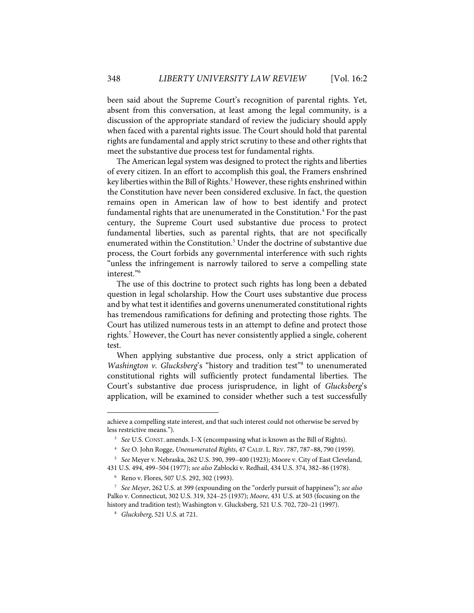been said about the Supreme Court's recognition of parental rights. Yet, absent from this conversation, at least among the legal community, is a discussion of the appropriate standard of review the judiciary should apply when faced with a parental rights issue. The Court should hold that parental rights are fundamental and apply strict scrutiny to these and other rights that meet the substantive due process test for fundamental rights.

The American legal system was designed to protect the rights and liberties of every citizen. In an effort to accomplish this goal, the Framers enshrined key liberties within the Bill of Rights.<sup>3</sup> However, these rights enshrined within the Constitution have never been considered exclusive. In fact, the question remains open in American law of how to best identify and protect fundamental rights that are unenumerated in the Constitution.<sup>4</sup> For the past century, the Supreme Court used substantive due process to protect fundamental liberties, such as parental rights, that are not specifically enumerated within the Constitution.<sup>5</sup> Under the doctrine of substantive due process, the Court forbids any governmental interference with such rights "unless the infringement is narrowly tailored to serve a compelling state interest."6

The use of this doctrine to protect such rights has long been a debated question in legal scholarship. How the Court uses substantive due process and by what test it identifies and governs unenumerated constitutional rights has tremendous ramifications for defining and protecting those rights. The Court has utilized numerous tests in an attempt to define and protect those rights. <sup>7</sup> However, the Court has never consistently applied a single, coherent test.

When applying substantive due process, only a strict application of *Washington v. Glucksberg's* "history and tradition test"<sup>8</sup> to unenumerated constitutional rights will sufficiently protect fundamental liberties. The Court's substantive due process jurisprudence, in light of *Glucksberg*'s application, will be examined to consider whether such a test successfully

achieve a compelling state interest, and that such interest could not otherwise be served by less restrictive means.").

<sup>3</sup> *See* U.S. CONST. amends. I–X (encompassing what is known as the Bill of Rights).

<sup>4</sup> *See* O. John Rogge, *Unenumerated Rights*, 47 CALIF. L. REV. 787, 787–88, 790 (1959).

<sup>5</sup> *See* Meyer v. Nebraska, 262 U.S. 390, 399–400 (1923); Moore v. City of East Cleveland, 431 U.S. 494, 499–504 (1977); *see also* Zablocki v. Redhail, 434 U.S. 374, 382–86 (1978).

<sup>6</sup> Reno v. Flores, 507 U.S. 292, 302 (1993).

<sup>7</sup> *See Meyer*, 262 U.S. at 399 (expounding on the "orderly pursuit of happiness"); *see also*  Palko v. Connecticut, 302 U.S. 319, 324–25 (1937); *Moore*, 431 U.S. at 503 (focusing on the history and tradition test); Washington v. Glucksberg, 521 U.S. 702, 720–21 (1997).

<sup>8</sup>  *Glucksberg*, 521 U.S. at 721.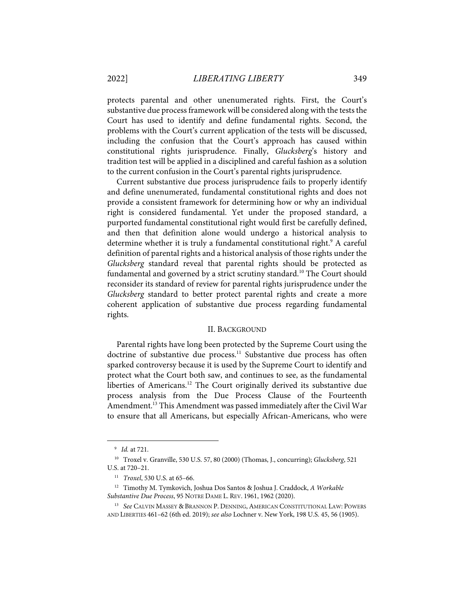protects parental and other unenumerated rights. First, the Court's substantive due process framework will be considered along with the tests the Court has used to identify and define fundamental rights. Second, the problems with the Court's current application of the tests will be discussed, including the confusion that the Court's approach has caused within constitutional rights jurisprudence. Finally, *Glucksberg*'s history and tradition test will be applied in a disciplined and careful fashion as a solution to the current confusion in the Court's parental rights jurisprudence.

Current substantive due process jurisprudence fails to properly identify and define unenumerated, fundamental constitutional rights and does not provide a consistent framework for determining how or why an individual right is considered fundamental. Yet under the proposed standard, a purported fundamental constitutional right would first be carefully defined, and then that definition alone would undergo a historical analysis to determine whether it is truly a fundamental constitutional right.<sup>9</sup> A careful definition of parental rights and a historical analysis of those rights under the *Glucksberg* standard reveal that parental rights should be protected as fundamental and governed by a strict scrutiny standard.<sup>10</sup> The Court should reconsider its standard of review for parental rights jurisprudence under the *Glucksberg* standard to better protect parental rights and create a more coherent application of substantive due process regarding fundamental rights.

#### II. BACKGROUND

Parental rights have long been protected by the Supreme Court using the doctrine of substantive due process. <sup>11</sup> Substantive due process has often sparked controversy because it is used by the Supreme Court to identify and protect what the Court both saw, and continues to see, as the fundamental liberties of Americans.<sup>12</sup> The Court originally derived its substantive due process analysis from the Due Process Clause of the Fourteenth Amendment.13 This Amendment was passed immediately after the Civil War to ensure that all Americans, but especially African-Americans, who were

<sup>9</sup> *Id.* at 721.

<sup>10</sup> Troxel v. Granville, 530 U.S. 57, 80 (2000) (Thomas, J., concurring); *Glucksberg*, 521 U.S. at 720–21.

<sup>11</sup> *Troxel*, 530 U.S. at 65–66.

<sup>12</sup> Timothy M. Tymkovich, Joshua Dos Santos & Joshua J. Craddock, *A Workable Substantive Due Process*, 95 NOTRE DAME L. REV. 1961, 1962 (2020).

<sup>&</sup>lt;sup>13</sup> See CALVIN MASSEY & BRANNON P. DENNING, AMERICAN CONSTITUTIONAL LAW: POWERS AND LIBERTIES 461–62 (6th ed. 2019); *see also* Lochner v. New York, 198 U.S. 45, 56 (1905).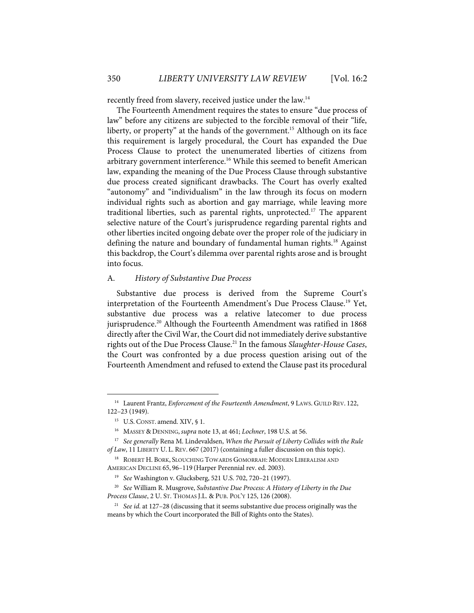recently freed from slavery, received justice under the law.<sup>14</sup>

The Fourteenth Amendment requires the states to ensure "due process of law" before any citizens are subjected to the forcible removal of their "life, liberty, or property" at the hands of the government.<sup>15</sup> Although on its face this requirement is largely procedural, the Court has expanded the Due Process Clause to protect the unenumerated liberties of citizens from arbitrary government interference.<sup>16</sup> While this seemed to benefit American law, expanding the meaning of the Due Process Clause through substantive due process created significant drawbacks. The Court has overly exalted "autonomy" and "individualism" in the law through its focus on modern individual rights such as abortion and gay marriage, while leaving more traditional liberties, such as parental rights, unprotected. <sup>17</sup> The apparent selective nature of the Court's jurisprudence regarding parental rights and other liberties incited ongoing debate over the proper role of the judiciary in defining the nature and boundary of fundamental human rights.<sup>18</sup> Against this backdrop, the Court's dilemma over parental rights arose and is brought into focus.

#### A. *History of Substantive Due Process*

Substantive due process is derived from the Supreme Court's interpretation of the Fourteenth Amendment's Due Process Clause.<sup>19</sup> Yet, substantive due process was a relative latecomer to due process jurisprudence.<sup>20</sup> Although the Fourteenth Amendment was ratified in 1868 directly after the Civil War, the Court did not immediately derive substantive rights out of the Due Process Clause.21 In the famous *Slaughter-House Cases*, the Court was confronted by a due process question arising out of the Fourteenth Amendment and refused to extend the Clause past its procedural

<sup>&</sup>lt;sup>14</sup> Laurent Frantz, *Enforcement of the Fourteenth Amendment*, 9 LAWS. GUILD REV. 122, 122–23 (1949).

<sup>&</sup>lt;sup>15</sup> U.S. CONST. amend. XIV, § 1.

<sup>16</sup> MASSEY & DENNING, *supra* note 13, at 461; *Lochner*, 198 U.S. at 56.

<sup>17</sup> *See generally* Rena M. Lindevaldsen, *When the Pursuit of Liberty Collides with the Rule of Law*, 11 LIBERTY U. L. REV. 667 (2017) (containing a fuller discussion on this topic).

<sup>&</sup>lt;sup>18</sup> ROBERT H. BORK, SLOUCHING TOWARDS GOMORRAH: MODERN LIBERALISM AND AMERICAN DECLINE 65, 96–119 (Harper Perennial rev. ed. 2003).

<sup>19</sup> *See* Washington v. Glucksberg, 521 U.S. 702, 720–21 (1997).

<sup>20</sup> *See* William R. Musgrove, *Substantive Due Process: A History of Liberty in the Due Process Clause*, 2 U. ST. THOMAS J.L. & PUB. POL'Y 125, 126 (2008).

<sup>21</sup> *See id*. at 127–28 (discussing that it seems substantive due process originally was the means by which the Court incorporated the Bill of Rights onto the States).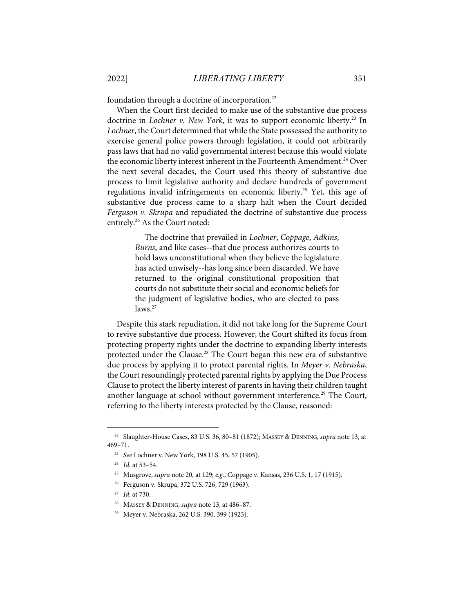foundation through a doctrine of incorporation.<sup>22</sup>

When the Court first decided to make use of the substantive due process doctrine in *Lochner v. New York*, it was to support economic liberty. <sup>23</sup> In *Lochner*, the Court determined that while the State possessed the authority to exercise general police powers through legislation, it could not arbitrarily pass laws that had no valid governmental interest because this would violate the economic liberty interest inherent in the Fourteenth Amendment.<sup>24</sup> Over the next several decades, the Court used this theory of substantive due process to limit legislative authority and declare hundreds of government regulations invalid infringements on economic liberty.<sup>25</sup> Yet, this age of substantive due process came to a sharp halt when the Court decided *Ferguson v. Skrupa* and repudiated the doctrine of substantive due process entirely. <sup>26</sup> As the Court noted:

> The doctrine that prevailed in *Lochner*, *Coppage*, *Adkins*, *Burns*, and like cases--that due process authorizes courts to hold laws unconstitutional when they believe the legislature has acted unwisely--has long since been discarded. We have returned to the original constitutional proposition that courts do not substitute their social and economic beliefs for the judgment of legislative bodies, who are elected to pass laws.<sup>27</sup>

Despite this stark repudiation, it did not take long for the Supreme Court to revive substantive due process. However, the Court shifted its focus from protecting property rights under the doctrine to expanding liberty interests protected under the Clause.<sup>28</sup> The Court began this new era of substantive due process by applying it to protect parental rights. In *Meyer v. Nebraska*, the Court resoundingly protected parental rights by applying the Due Process Clause to protect the liberty interest of parents in having their children taught another language at school without government interference.<sup>29</sup> The Court, referring to the liberty interests protected by the Clause, reasoned:

<sup>22</sup> Slaughter-House Cases, 83 U.S. 36, 80–81 (1872); MASSEY & DENNING, *supra* note 13, at 469–71.

<sup>23</sup> *See* Lochner v. New York, 198 U.S. 45, 57 (1905).

<sup>24</sup> *Id.* at 53–54.

<sup>25</sup> Musgrove, *supra* note 20, at 129; *e.g.*, Coppage v. Kansas, 236 U.S. 1, 17 (1915).

<sup>26</sup> Ferguson v. Skrupa, 372 U.S. 726, 729 (1963).

<sup>27</sup> *Id*. at 730.

<sup>28</sup> MASSEY & DENNING, *supra* note 13, at 486–87.

<sup>29</sup> Meyer v. Nebraska, 262 U.S. 390, 399 (1923).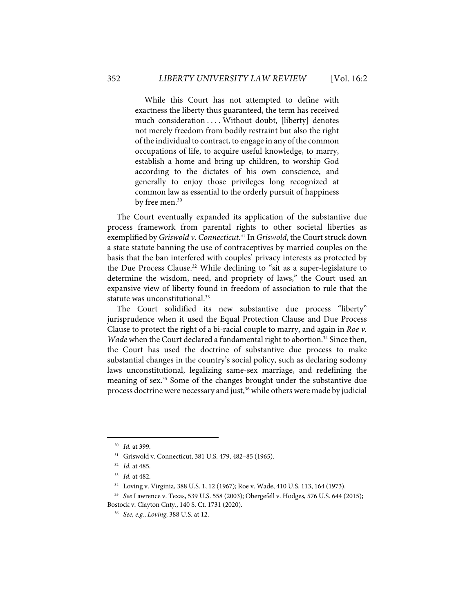While this Court has not attempted to define with exactness the liberty thus guaranteed, the term has received much consideration . . . . Without doubt, [liberty] denotes not merely freedom from bodily restraint but also the right of the individual to contract, to engage in any of the common occupations of life, to acquire useful knowledge, to marry, establish a home and bring up children, to worship God according to the dictates of his own conscience, and generally to enjoy those privileges long recognized at common law as essential to the orderly pursuit of happiness by free men.<sup>30</sup>

The Court eventually expanded its application of the substantive due process framework from parental rights to other societal liberties as exemplified by *Griswold v. Connecticut*. <sup>31</sup> In *Griswold*, the Court struck down a state statute banning the use of contraceptives by married couples on the basis that the ban interfered with couples' privacy interests as protected by the Due Process Clause.<sup>32</sup> While declining to "sit as a super-legislature to determine the wisdom, need, and propriety of laws," the Court used an expansive view of liberty found in freedom of association to rule that the statute was unconstitutional.<sup>33</sup>

The Court solidified its new substantive due process "liberty" jurisprudence when it used the Equal Protection Clause and Due Process Clause to protect the right of a bi-racial couple to marry, and again in *Roe v. Wade* when the Court declared a fundamental right to abortion.<sup>34</sup> Since then, the Court has used the doctrine of substantive due process to make substantial changes in the country's social policy, such as declaring sodomy laws unconstitutional, legalizing same-sex marriage, and redefining the meaning of sex.<sup>35</sup> Some of the changes brought under the substantive due process doctrine were necessary and just,<sup>36</sup> while others were made by judicial

<sup>30</sup> *Id.* at 399.

<sup>31</sup> Griswold v. Connecticut, 381 U.S. 479, 482–85 (1965).

<sup>32</sup> *Id.* at 485.

<sup>33</sup> *Id.* at 482.

<sup>34</sup> Loving v. Virginia, 388 U.S. 1, 12 (1967); Roe v. Wade, 410 U.S. 113, 164 (1973).

<sup>35</sup> *See* Lawrence v. Texas, 539 U.S. 558 (2003); Obergefell v. Hodges, 576 U.S. 644 (2015); Bostock v. Clayton Cnty., 140 S. Ct. 1731 (2020).

<sup>36</sup> *See, e.g.*, *Loving*, 388 U.S. at 12.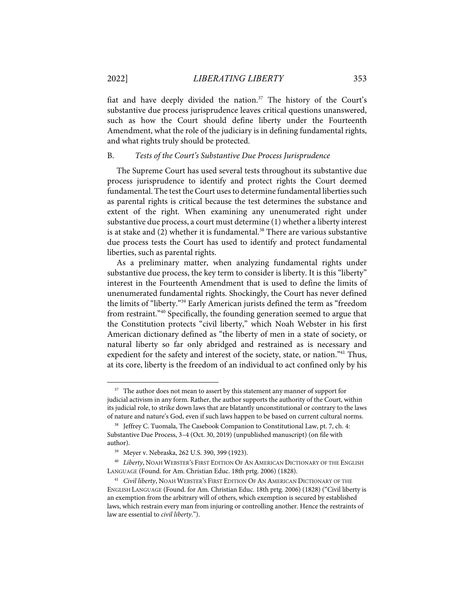fiat and have deeply divided the nation. $37$  The history of the Court's substantive due process jurisprudence leaves critical questions unanswered, such as how the Court should define liberty under the Fourteenth Amendment, what the role of the judiciary is in defining fundamental rights, and what rights truly should be protected.

#### B. *Tests of the Court's Substantive Due Process Jurisprudence*

The Supreme Court has used several tests throughout its substantive due process jurisprudence to identify and protect rights the Court deemed fundamental. The test the Court uses to determine fundamental liberties such as parental rights is critical because the test determines the substance and extent of the right. When examining any unenumerated right under substantive due process, a court must determine (1) whether a liberty interest is at stake and  $(2)$  whether it is fundamental.<sup>38</sup> There are various substantive due process tests the Court has used to identify and protect fundamental liberties, such as parental rights.

As a preliminary matter, when analyzing fundamental rights under substantive due process, the key term to consider is liberty. It is this "liberty" interest in the Fourteenth Amendment that is used to define the limits of unenumerated fundamental rights. Shockingly, the Court has never defined the limits of "liberty."39 Early American jurists defined the term as "freedom from restraint."40 Specifically, the founding generation seemed to argue that the Constitution protects "civil liberty," which Noah Webster in his first American dictionary defined as "the liberty of men in a state of society, or natural liberty so far only abridged and restrained as is necessary and expedient for the safety and interest of the society, state, or nation."<sup>41</sup> Thus, at its core, liberty is the freedom of an individual to act confined only by his

<sup>&</sup>lt;sup>37</sup> The author does not mean to assert by this statement any manner of support for judicial activism in any form. Rather, the author supports the authority of the Court, within its judicial role, to strike down laws that are blatantly unconstitutional or contrary to the laws of nature and nature's God, even if such laws happen to be based on current cultural norms.

<sup>&</sup>lt;sup>38</sup> Jeffrey C. Tuomala, The Casebook Companion to Constitutional Law, pt. 7, ch. 4: Substantive Due Process, 3–4 (Oct. 30, 2019) (unpublished manuscript) (on file with author).

<sup>39</sup> Meyer v. Nebraska, 262 U.S. 390, 399 (1923).

<sup>40</sup> *Liberty*, NOAH WEBSTER'S FIRST EDITION OF AN AMERICAN DICTIONARY OF THE ENGLISH LANGUAGE (Found. for Am. Christian Educ. 18th prtg. 2006) (1828).

<sup>41</sup> *Civil liberty*, NOAH WEBSTER'S FIRST EDITION OF AN AMERICAN DICTIONARY OF THE ENGLISH LANGUAGE (Found. for Am. Christian Educ. 18th prtg. 2006) (1828) ("Civil liberty is an exemption from the arbitrary will of others, which exemption is secured by established laws, which restrain every man from injuring or controlling another. Hence the restraints of law are essential to *civil liberty*.").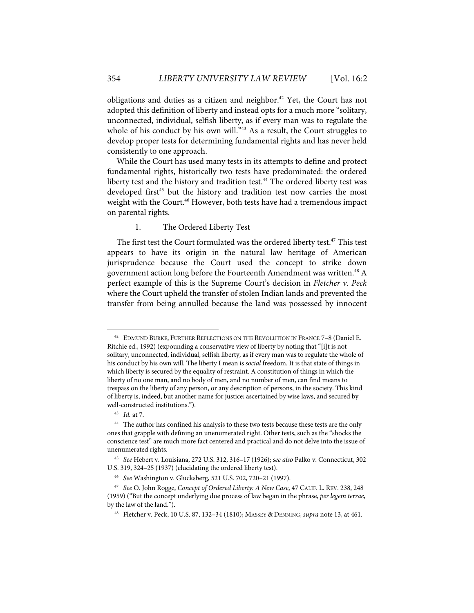obligations and duties as a citizen and neighbor. <sup>42</sup> Yet, the Court has not adopted this definition of liberty and instead opts for a much more "solitary, unconnected, individual, selfish liberty, as if every man was to regulate the whole of his conduct by his own will."<sup>43</sup> As a result, the Court struggles to develop proper tests for determining fundamental rights and has never held consistently to one approach.

While the Court has used many tests in its attempts to define and protect fundamental rights, historically two tests have predominated: the ordered liberty test and the history and tradition test.<sup>44</sup> The ordered liberty test was developed first<sup>45</sup> but the history and tradition test now carries the most weight with the Court.<sup>46</sup> However, both tests have had a tremendous impact on parental rights.

#### 1. The Ordered Liberty Test

The first test the Court formulated was the ordered liberty test.<sup>47</sup> This test appears to have its origin in the natural law heritage of American jurisprudence because the Court used the concept to strike down government action long before the Fourteenth Amendment was written.<sup>48</sup> A perfect example of this is the Supreme Court's decision in *Fletcher v. Peck* where the Court upheld the transfer of stolen Indian lands and prevented the transfer from being annulled because the land was possessed by innocent

<sup>&</sup>lt;sup>42</sup> EDMUND BURKE, FURTHER REFLECTIONS ON THE REVOLUTION IN FRANCE 7-8 (Daniel E. Ritchie ed., 1992) (expounding a conservative view of liberty by noting that "[i]t is not solitary, unconnected, individual, selfish liberty, as if every man was to regulate the whole of his conduct by his own will. The liberty I mean is *social* freedom. It is that state of things in which liberty is secured by the equality of restraint. A constitution of things in which the liberty of no one man, and no body of men, and no number of men, can find means to trespass on the liberty of any person, or any description of persons, in the society. This kind of liberty is, indeed, but another name for justice; ascertained by wise laws, and secured by well-constructed institutions.").

<sup>43</sup> *Id.* at 7.

<sup>&</sup>lt;sup>44</sup> The author has confined his analysis to these two tests because these tests are the only ones that grapple with defining an unenumerated right. Other tests, such as the "shocks the conscience test" are much more fact centered and practical and do not delve into the issue of unenumerated rights.

<sup>45</sup> *See* Hebert v. Louisiana, 272 U.S. 312, 316–17 (1926); *see also* Palko v. Connecticut, 302 U.S. 319, 324–25 (1937) (elucidating the ordered liberty test).

<sup>46</sup> *See* Washington v. Glucksberg, 521 U.S. 702, 720–21 (1997).

<sup>47</sup> *See* O. John Rogge, *Concept of Ordered Liberty: A New Case*, 47 CALIF. L. REV. 238, 248 (1959) ("But the concept underlying due process of law began in the phrase, *per legem terrae*, by the law of the land.").

<sup>48</sup> Fletcher v. Peck, 10 U.S. 87, 132–34 (1810); MASSEY & DENNING, *supra* note 13, at 461.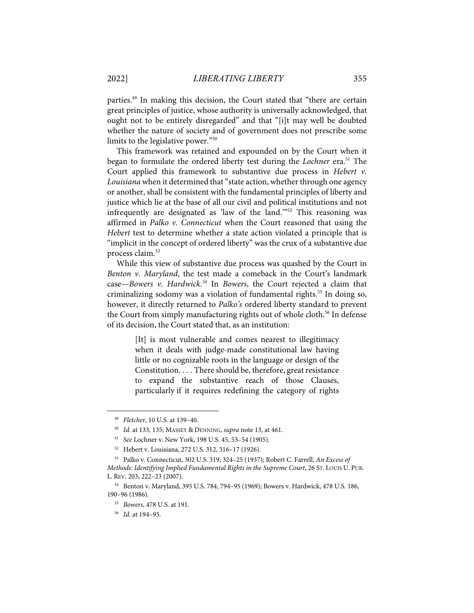parties.49 In making this decision, the Court stated that "there are certain great principles of justice, whose authority is universally acknowledged, that ought not to be entirely disregarded" and that "[i]t may well be doubted whether the nature of society and of government does not prescribe some limits to the legislative power."50

This framework was retained and expounded on by the Court when it began to formulate the ordered liberty test during the *Lochner* era.<sup>51</sup> The Court applied this framework to substantive due process in *Hebert v. Louisiana* when it determined that "state action, whether through one agency or another, shall be consistent with the fundamental principles of liberty and justice which lie at the base of all our civil and political institutions and not infrequently are designated as 'law of the land.'"52 This reasoning was affirmed in *Palko v. Connecticut* when the Court reasoned that using the *Hebert* test to determine whether a state action violated a principle that is "implicit in the concept of ordered liberty" was the crux of a substantive due process claim.<sup>53</sup>

While this view of substantive due process was quashed by the Court in *Benton v. Maryland*, the test made a comeback in the Court's landmark case—*Bowers v. Hardwick*. *<sup>54</sup>* In *Bowers*, the Court rejected a claim that criminalizing sodomy was a violation of fundamental rights.<sup>55</sup> In doing so, however, it directly returned to *Palko's* ordered liberty standard to prevent the Court from simply manufacturing rights out of whole cloth.<sup>56</sup> In defense of its decision, the Court stated that, as an institution:

> [It] is most vulnerable and comes nearest to illegitimacy when it deals with judge-made constitutional law having little or no cognizable roots in the language or design of the Constitution. . . . There should be, therefore, great resistance to expand the substantive reach of those Clauses, particularly if it requires redefining the category of rights

<sup>49</sup> *Fletcher*, 10 U.S. at 139–40.

<sup>50</sup> *Id.* at 133, 135; MASSEY & DENNING, *supra* note 13, at 461.

<sup>51</sup> *See* Lochner v. New York, 198 U.S. 45, 53–54 (1905).

<sup>52</sup> Hebert v. Louisiana, 272 U.S. 312, 316–17 (1926).

<sup>53</sup> Palko v. Connecticut, 302 U.S. 319, 324–25 (1937); Robert C. Farrell, *An Excess of Methods: Identifying Implied Fundamental Rights in the Supreme Court*, 26 ST. LOUIS U. PUB. L. REV. 203, 222–23 (2007).

<sup>54</sup> Benton v. Maryland, 395 U.S. 784, 794–95 (1969); Bowers v. Hardwick, 478 U.S. 186, 190–96 (1986).

<sup>55</sup> *Bowers*, 478 U.S. at 191.

<sup>56</sup> *Id.* at 194–95.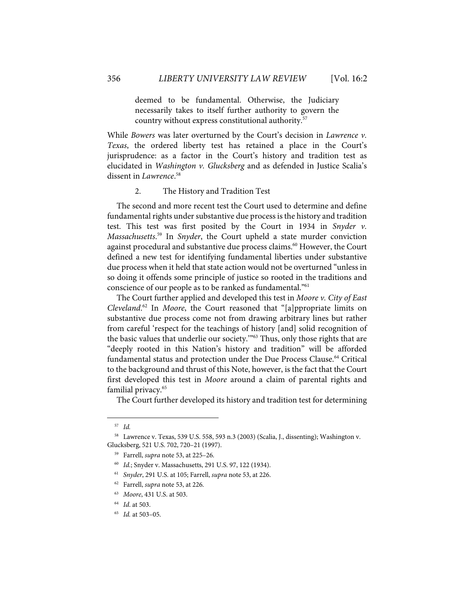deemed to be fundamental. Otherwise, the Judiciary necessarily takes to itself further authority to govern the country without express constitutional authority.57

While *Bowers* was later overturned by the Court's decision in *Lawrence v. Texas*, the ordered liberty test has retained a place in the Court's jurisprudence: as a factor in the Court's history and tradition test as elucidated in *Washington v. Glucksberg* and as defended in Justice Scalia's dissent in *Lawrence*. 58

#### 2. The History and Tradition Test

The second and more recent test the Court used to determine and define fundamental rights under substantive due process is the history and tradition test. This test was first posited by the Court in 1934 in *Snyder v. Massachusetts*. <sup>59</sup> In *Snyder*, the Court upheld a state murder conviction against procedural and substantive due process claims.<sup>60</sup> However, the Court defined a new test for identifying fundamental liberties under substantive due process when it held that state action would not be overturned "unless in so doing it offends some principle of justice so rooted in the traditions and conscience of our people as to be ranked as fundamental."61

The Court further applied and developed this test in *Moore v. City of East Cleveland*. <sup>62</sup> In *Moore*, the Court reasoned that "[a]ppropriate limits on substantive due process come not from drawing arbitrary lines but rather from careful 'respect for the teachings of history [and] solid recognition of the basic values that underlie our society.'"63 Thus, only those rights that are "deeply rooted in this Nation's history and tradition" will be afforded fundamental status and protection under the Due Process Clause.<sup>64</sup> Critical to the background and thrust of this Note, however, is the fact that the Court first developed this test in *Moore* around a claim of parental rights and familial privacy.65

The Court further developed its history and tradition test for determining

<sup>57</sup> *Id.*

<sup>58</sup> Lawrence v. Texas, 539 U.S. 558, 593 n.3 (2003) (Scalia, J., dissenting); Washington v. Glucksberg, 521 U.S. 702, 720–21 (1997).

<sup>59</sup> Farrell, *supra* note 53, at 225–26.

<sup>60</sup> *Id.*; Snyder v. Massachusetts, 291 U.S. 97, 122 (1934).

<sup>61</sup> *Snyder*, 291 U.S. at 105; Farrell, *supra* note 53, at 226.

<sup>62</sup> Farrell, *supra* note 53, at 226.

<sup>63</sup> *Moore*, 431 U.S. at 503.

<sup>64</sup> *Id*. at 503.

<sup>65</sup> *Id.* at 503–05.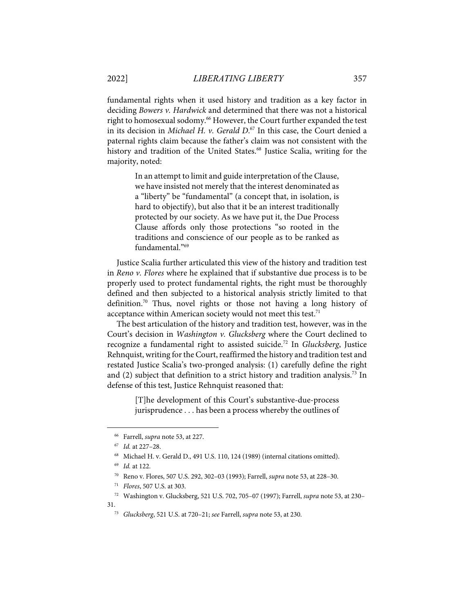fundamental rights when it used history and tradition as a key factor in deciding *Bowers v. Hardwick* and determined that there was not a historical right to homosexual sodomy. <sup>66</sup> However, the Court further expanded the test in its decision in *Michael H. v. Gerald D*. <sup>67</sup> In this case, the Court denied a paternal rights claim because the father's claim was not consistent with the history and tradition of the United States.<sup>68</sup> Justice Scalia, writing for the majority, noted:

> In an attempt to limit and guide interpretation of the Clause, we have insisted not merely that the interest denominated as a "liberty" be "fundamental" (a concept that, in isolation, is hard to objectify), but also that it be an interest traditionally protected by our society. As we have put it, the Due Process Clause affords only those protections "so rooted in the traditions and conscience of our people as to be ranked as fundamental."69

Justice Scalia further articulated this view of the history and tradition test in *Reno v. Flores* where he explained that if substantive due process is to be properly used to protect fundamental rights, the right must be thoroughly defined and then subjected to a historical analysis strictly limited to that definition.<sup>70</sup> Thus, novel rights or those not having a long history of acceptance within American society would not meet this test. $71$ 

The best articulation of the history and tradition test, however, was in the Court's decision in *Washington v. Glucksberg* where the Court declined to recognize a fundamental right to assisted suicide.72 In *Glucksberg*, Justice Rehnquist, writing for the Court, reaffirmed the history and tradition test and restated Justice Scalia's two-pronged analysis: (1) carefully define the right and (2) subject that definition to a strict history and tradition analysis.<sup>73</sup> In defense of this test, Justice Rehnquist reasoned that:

> [T]he development of this Court's substantive-due-process jurisprudence . . . has been a process whereby the outlines of

31.

<sup>66</sup> Farrell, *supra* note 53, at 227.

<sup>67</sup> *Id.* at 227–28.

<sup>68</sup> Michael H. v. Gerald D., 491 U.S. 110, 124 (1989) (internal citations omitted).

<sup>69</sup> *Id.* at 122.

<sup>70</sup> Reno v. Flores, 507 U.S. 292, 302–03 (1993); Farrell, *supra* note 53, at 228–30.

<sup>71</sup> *Flores*, 507 U.S. at 303.

<sup>72</sup> Washington v. Glucksberg, 521 U.S. 702, 705–07 (1997); Farrell, *supra* note 53, at 230–

<sup>73</sup> *Glucksberg*, 521 U.S. at 720–21; *see* Farrell, *supra* note 53, at 230.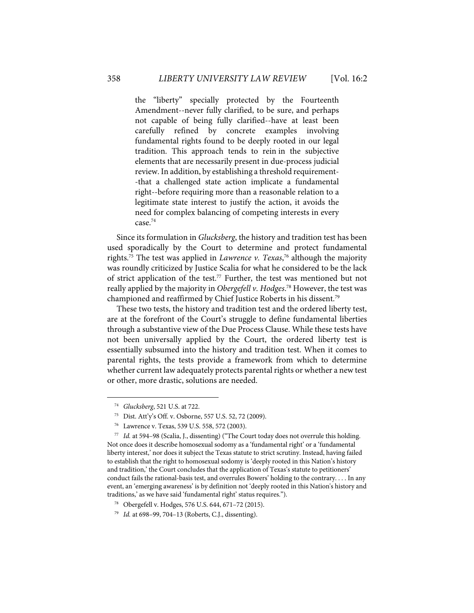the "liberty" specially protected by the Fourteenth Amendment--never fully clarified, to be sure, and perhaps not capable of being fully clarified--have at least been carefully refined by concrete examples involving fundamental rights found to be deeply rooted in our legal tradition. This approach tends to rein in the subjective elements that are necessarily present in due-process judicial review. In addition, by establishing a threshold requirement- -that a challenged state action implicate a fundamental right--before requiring more than a reasonable relation to a legitimate state interest to justify the action, it avoids the need for complex balancing of competing interests in every case.74

Since its formulation in *Glucksberg*, the history and tradition test has been used sporadically by the Court to determine and protect fundamental rights.75 The test was applied in *Lawrence v. Texas*, <sup>76</sup> although the majority was roundly criticized by Justice Scalia for what he considered to be the lack of strict application of the test.<sup>77</sup> Further, the test was mentioned but not really applied by the majority in *Obergefell v. Hodges*. <sup>78</sup> However, the test was championed and reaffirmed by Chief Justice Roberts in his dissent.<sup>79</sup>

These two tests, the history and tradition test and the ordered liberty test, are at the forefront of the Court's struggle to define fundamental liberties through a substantive view of the Due Process Clause. While these tests have not been universally applied by the Court, the ordered liberty test is essentially subsumed into the history and tradition test. When it comes to parental rights, the tests provide a framework from which to determine whether current law adequately protects parental rights or whether a new test or other, more drastic, solutions are needed.

<sup>74</sup> *Glucksberg*, 521 U.S. at 722.

<sup>75</sup> Dist. Att'y's Off. v. Osborne, 557 U.S. 52, 72 (2009).

<sup>76</sup> Lawrence v. Texas, 539 U.S. 558, 572 (2003).

<sup>77</sup> *Id.* at 594–98 (Scalia, J., dissenting) ("The Court today does not overrule this holding. Not once does it describe homosexual sodomy as a 'fundamental right' or a 'fundamental liberty interest,' nor does it subject the Texas statute to strict scrutiny. Instead, having failed to establish that the right to homosexual sodomy is 'deeply rooted in this Nation's history and tradition,' the Court concludes that the application of Texas's statute to petitioners' conduct fails the rational-basis test, and overrules Bowers' holding to the contrary. . . . In any event, an 'emerging awareness' is by definition not 'deeply rooted in this Nation's history and traditions,' as we have said 'fundamental right' status requires.").

<sup>78</sup> Obergefell v. Hodges, 576 U.S. 644, 671–72 (2015).

<sup>79</sup> *Id.* at 698–99, 704–13 (Roberts, C.J., dissenting).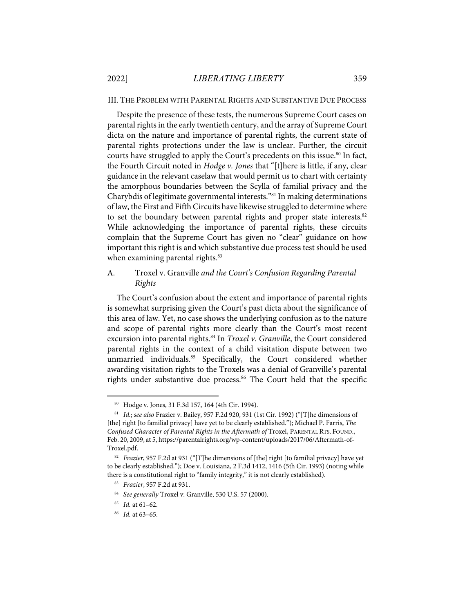III. THE PROBLEM WITH PARENTAL RIGHTS AND SUBSTANTIVE DUE PROCESS

Despite the presence of these tests, the numerous Supreme Court cases on parental rights in the early twentieth century, and the array of Supreme Court dicta on the nature and importance of parental rights, the current state of parental rights protections under the law is unclear. Further, the circuit courts have struggled to apply the Court's precedents on this issue. <sup>80</sup> In fact, the Fourth Circuit noted in *Hodge v. Jones* that "[t]here is little, if any, clear guidance in the relevant caselaw that would permit us to chart with certainty the amorphous boundaries between the Scylla of familial privacy and the Charybdis of legitimate governmental interests."81 In making determinations of law, the First and Fifth Circuits have likewise struggled to determine where to set the boundary between parental rights and proper state interests.<sup>82</sup> While acknowledging the importance of parental rights, these circuits complain that the Supreme Court has given no "clear" guidance on how important this right is and which substantive due process test should be used when examining parental rights.<sup>83</sup>

# A. Troxel v. Granville *and the Court's Confusion Regarding Parental Rights*

The Court's confusion about the extent and importance of parental rights is somewhat surprising given the Court's past dicta about the significance of this area of law. Yet, no case shows the underlying confusion as to the nature and scope of parental rights more clearly than the Court's most recent excursion into parental rights. <sup>84</sup> In *Troxel v. Granville*, the Court considered parental rights in the context of a child visitation dispute between two unmarried individuals. <sup>85</sup> Specifically, the Court considered whether awarding visitation rights to the Troxels was a denial of Granville's parental rights under substantive due process.<sup>86</sup> The Court held that the specific

85 *Id.* at 61–62.

<sup>80</sup> Hodge v. Jones, 31 F.3d 157, 164 (4th Cir. 1994).

<sup>81</sup> *Id.*; *see also* Frazier v. Bailey, 957 F.2d 920, 931 (1st Cir. 1992) ("[T]he dimensions of [the] right [to familial privacy] have yet to be clearly established."); Michael P. Farris, *The*  Confused Character of Parental Rights in the Aftermath of Troxel, PARENTAL RTS. FOUND., Feb. 20, 2009, at 5, https://parentalrights.org/wp-content/uploads/2017/06/Aftermath-of-Troxel.pdf.

<sup>82</sup> *Frazier*, 957 F.2d at 931 ("[T]he dimensions of [the] right [to familial privacy] have yet to be clearly established."); Doe v. Louisiana, 2 F.3d 1412, 1416 (5th Cir. 1993) (noting while there is a constitutional right to "family integrity," it is not clearly established).

<sup>83</sup> *Frazier*, 957 F.2d at 931.

<sup>84</sup> *See generally* Troxel v. Granville, 530 U.S. 57 (2000).

<sup>86</sup> *Id.* at 63–65.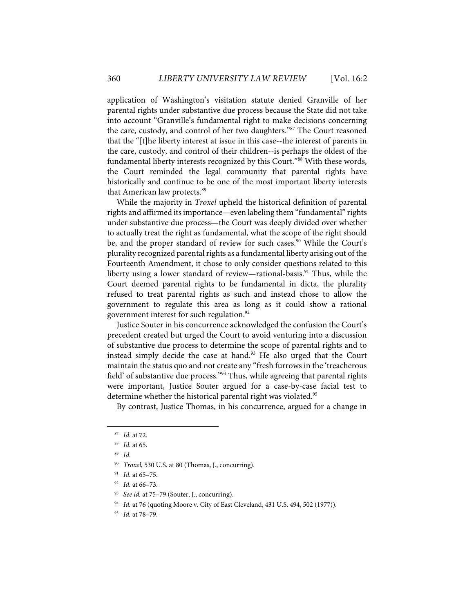application of Washington's visitation statute denied Granville of her parental rights under substantive due process because the State did not take into account "Granville's fundamental right to make decisions concerning the care, custody, and control of her two daughters."87 The Court reasoned that the "[t]he liberty interest at issue in this case--the interest of parents in the care, custody, and control of their children--is perhaps the oldest of the fundamental liberty interests recognized by this Court."88 With these words, the Court reminded the legal community that parental rights have historically and continue to be one of the most important liberty interests that American law protects.<sup>89</sup>

While the majority in *Troxel* upheld the historical definition of parental rights and affirmed its importance—even labeling them "fundamental" rights under substantive due process—the Court was deeply divided over whether to actually treat the right as fundamental, what the scope of the right should be, and the proper standard of review for such cases.<sup>90</sup> While the Court's plurality recognized parental rights as a fundamental liberty arising out of the Fourteenth Amendment, it chose to only consider questions related to this liberty using a lower standard of review—rational-basis. <sup>91</sup> Thus, while the Court deemed parental rights to be fundamental in dicta, the plurality refused to treat parental rights as such and instead chose to allow the government to regulate this area as long as it could show a rational government interest for such regulation.92

Justice Souter in his concurrence acknowledged the confusion the Court's precedent created but urged the Court to avoid venturing into a discussion of substantive due process to determine the scope of parental rights and to instead simply decide the case at hand.<sup>93</sup> He also urged that the Court maintain the status quo and not create any "fresh furrows in the 'treacherous field' of substantive due process."<sup>94</sup> Thus, while agreeing that parental rights were important, Justice Souter argued for a case-by-case facial test to determine whether the historical parental right was violated.<sup>95</sup>

By contrast, Justice Thomas, in his concurrence, argued for a change in

<sup>87</sup> *Id.* at 72.

<sup>88</sup> *Id.* at 65.

<sup>89</sup> *Id.*

<sup>90</sup> *Troxel*, 530 U.S. at 80 (Thomas, J., concurring).

<sup>91</sup> *Id.* at 65–75.

<sup>92</sup> *Id.* at 66–73.

<sup>93</sup> *See id.* at 75–79 (Souter, J., concurring).

<sup>94</sup> *Id.* at 76 (quoting Moore v. City of East Cleveland, 431 U.S. 494, 502 (1977)).

<sup>95</sup> *Id.* at 78–79.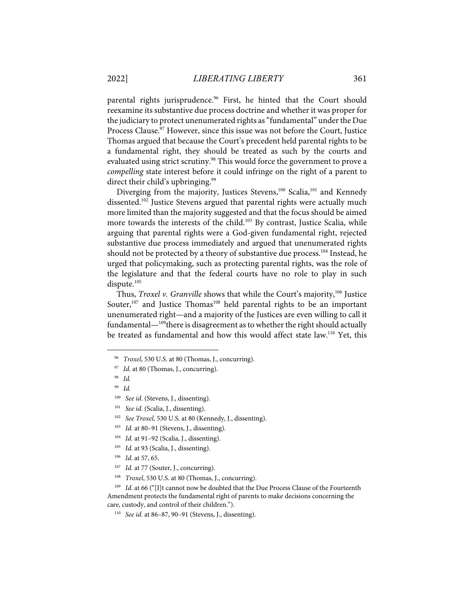parental rights jurisprudence.<sup>96</sup> First, he hinted that the Court should reexamine its substantive due process doctrine and whether it was proper for the judiciary to protect unenumerated rights as "fundamental" under the Due Process Clause.<sup>97</sup> However, since this issue was not before the Court, Justice Thomas argued that because the Court's precedent held parental rights to be a fundamental right, they should be treated as such by the courts and evaluated using strict scrutiny.<sup>98</sup> This would force the government to prove a *compelling* state interest before it could infringe on the right of a parent to direct their child's upbringing.<sup>99</sup>

Diverging from the majority, Justices Stevens,<sup>100</sup> Scalia,<sup>101</sup> and Kennedy dissented. <sup>102</sup> Justice Stevens argued that parental rights were actually much more limited than the majority suggested and that the focus should be aimed more towards the interests of the child. <sup>103</sup> By contrast, Justice Scalia, while arguing that parental rights were a God-given fundamental right, rejected substantive due process immediately and argued that unenumerated rights should not be protected by a theory of substantive due process.<sup>104</sup> Instead, he urged that policymaking, such as protecting parental rights, was the role of the legislature and that the federal courts have no role to play in such dispute.<sup>105</sup>

Thus, *Troxel v. Granville* shows that while the Court's majority, <sup>106</sup> Justice Souter,<sup>107</sup> and Justice Thomas<sup>108</sup> held parental rights to be an important unenumerated right—and a majority of the Justices are even willing to call it fundamental— $109$ <sup>t</sup>here is disagreement as to whether the right should actually be treated as fundamental and how this would affect state law.<sup>110</sup> Yet, this

108 *Troxel*, 530 U.S. at 80 (Thomas, J., concurring).

<sup>109</sup> Id. at 66 ("[I]t cannot now be doubted that the Due Process Clause of the Fourteenth Amendment protects the fundamental right of parents to make decisions concerning the care, custody, and control of their children.").

<sup>96</sup> *Troxel*, 530 U.S. at 80 (Thomas, J., concurring).

<sup>&</sup>lt;sup>97</sup> *Id.* at 80 (Thomas, J., concurring).

<sup>98</sup> *Id.*

<sup>99</sup> *Id.* 

<sup>100</sup> *See id*. (Stevens, J., dissenting).

<sup>101</sup> *See id.* (Scalia, J., dissenting).

<sup>102</sup> *See Troxel*, 530 U.S. at 80 (Kennedy, J., dissenting).

<sup>103</sup> *Id.* at 80–91 (Stevens, J., dissenting).

<sup>104</sup> *Id.* at 91–92 (Scalia, J., dissenting).

<sup>105</sup> *Id.* at 93 (Scalia, J., dissenting).

<sup>106</sup> *Id*. at 57, 65.

<sup>&</sup>lt;sup>107</sup> *Id.* at 77 (Souter, J., concurring).

<sup>110</sup> *See id.* at 86–87, 90–91 (Stevens, J., dissenting).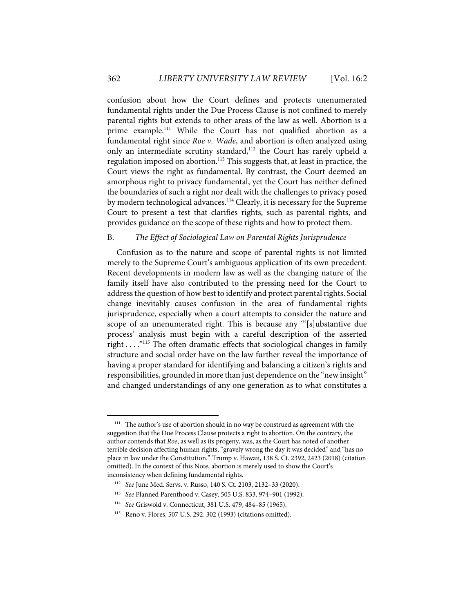confusion about how the Court defines and protects unenumerated fundamental rights under the Due Process Clause is not confined to merely parental rights but extends to other areas of the law as well. Abortion is a prime example.<sup>111</sup> While the Court has not qualified abortion as a fundamental right since *Roe v. Wade*, and abortion is often analyzed using only an intermediate scrutiny standard,<sup>112</sup> the Court has rarely upheld a regulation imposed on abortion. <sup>113</sup> This suggests that, at least in practice, the Court views the right as fundamental. By contrast, the Court deemed an amorphous right to privacy fundamental, yet the Court has neither defined the boundaries of such a right nor dealt with the challenges to privacy posed by modern technological advances.<sup>114</sup> Clearly, it is necessary for the Supreme Court to present a test that clarifies rights, such as parental rights, and provides guidance on the scope of these rights and how to protect them.

#### B. *The Effect of Sociological Law on Parental Rights Jurisprudence*

Confusion as to the nature and scope of parental rights is not limited merely to the Supreme Court's ambiguous application of its own precedent. Recent developments in modern law as well as the changing nature of the family itself have also contributed to the pressing need for the Court to address the question of how best to identify and protect parental rights. Social change inevitably causes confusion in the area of fundamental rights jurisprudence, especially when a court attempts to consider the nature and scope of an unenumerated right. This is because any "'[s]ubstantive due process' analysis must begin with a careful description of the asserted right . . . ."115 The often dramatic effects that sociological changes in family structure and social order have on the law further reveal the importance of having a proper standard for identifying and balancing a citizen's rights and responsibilities, grounded in more than just dependence on the "new insight" and changed understandings of any one generation as to what constitutes a

<sup>&</sup>lt;sup>111</sup> The author's use of abortion should in no way be construed as agreement with the suggestion that the Due Process Clause protects a right to abortion. On the contrary, the author contends that *Roe*, as well as its progeny, was, as the Court has noted of another terrible decision affecting human rights, "gravely wrong the day it was decided" and "has no place in law under the Constitution." Trump v. Hawaii, 138 S. Ct. 2392, 2423 (2018) (citation omitted). In the context of this Note, abortion is merely used to show the Court's inconsistency when defining fundamental rights.

<sup>112</sup> *See* June Med. Servs. v. Russo, 140 S. Ct. 2103, 2132–33 (2020).

<sup>113</sup> *See* Planned Parenthood v. Casey, 505 U.S. 833, 974–901 (1992).

<sup>114</sup> *See* Griswold v. Connecticut, 381 U.S. 479, 484–85 (1965).

<sup>115</sup> Reno v. Flores, 507 U.S. 292, 302 (1993) (citations omitted).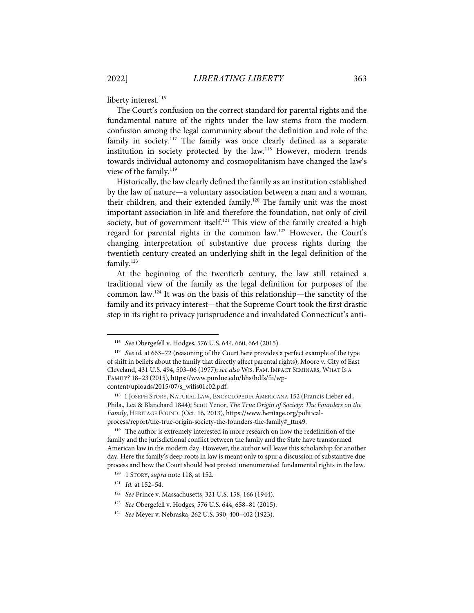liberty interest.<sup>116</sup>

The Court's confusion on the correct standard for parental rights and the fundamental nature of the rights under the law stems from the modern confusion among the legal community about the definition and role of the family in society.<sup>117</sup> The family was once clearly defined as a separate institution in society protected by the law.<sup>118</sup> However, modern trends towards individual autonomy and cosmopolitanism have changed the law's view of the family.<sup>119</sup>

Historically, the law clearly defined the family as an institution established by the law of nature—a voluntary association between a man and a woman, their children, and their extended family.<sup>120</sup> The family unit was the most important association in life and therefore the foundation, not only of civil society, but of government itself.<sup>121</sup> This view of the family created a high regard for parental rights in the common law.<sup>122</sup> However, the Court's changing interpretation of substantive due process rights during the twentieth century created an underlying shift in the legal definition of the family. 123

At the beginning of the twentieth century, the law still retained a traditional view of the family as the legal definition for purposes of the common law.124 It was on the basis of this relationship—the sanctity of the family and its privacy interest—that the Supreme Court took the first drastic step in its right to privacy jurisprudence and invalidated Connecticut's anti-

<sup>116</sup> *See* Obergefell v. Hodges, 576 U.S. 644, 660, 664 (2015).

<sup>&</sup>lt;sup>117</sup> *See id.* at 663-72 (reasoning of the Court here provides a perfect example of the type of shift in beliefs about the family that directly affect parental rights); Moore v. City of East Cleveland, 431 U.S. 494, 503–06 (1977); *see also* WIS. FAM. IMPACT SEMINARS, WHAT IS A FAMILY? 18–23 (2015), https://www.purdue.edu/hhs/hdfs/fii/wpcontent/uploads/2015/07/s\_wifis01c02.pdf.

<sup>&</sup>lt;sup>118</sup> 1 JOSEPH STORY, NATURAL LAW, ENCYCLOPEDIA AMERICANA 152 (Francis Lieber ed., Phila., Lea & Blanchard 1844); Scott Yenor, *The True Origin of Society: The Founders on the Family*, HERITAGE FOUND. (Oct. 16, 2013), https://www.heritage.org/politicalprocess/report/the-true-origin-society-the-founders-the-family#\_ftn49.

<sup>&</sup>lt;sup>119</sup> The author is extremely interested in more research on how the redefinition of the family and the jurisdictional conflict between the family and the State have transformed American law in the modern day. However, the author will leave this scholarship for another day. Here the family's deep roots in law is meant only to spur a discussion of substantive due process and how the Court should best protect unenumerated fundamental rights in the law.

<sup>120 1</sup> STORY, *supra* note 118, at 152.

<sup>121</sup> *Id.* at 152–54.

<sup>122</sup> *See* Prince v. Massachusetts, 321 U.S. 158, 166 (1944).

<sup>123</sup> *See* Obergefell v. Hodges, 576 U.S. 644, 658–81 (2015).

<sup>124</sup> *See* Meyer v. Nebraska, 262 U.S. 390, 400–402 (1923).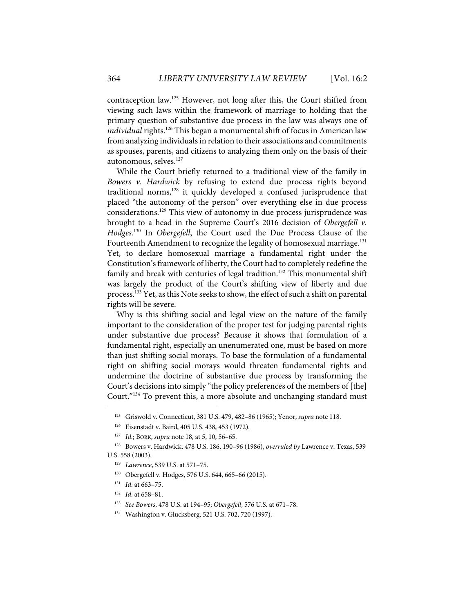contraception law.125 However, not long after this, the Court shifted from viewing such laws within the framework of marriage to holding that the primary question of substantive due process in the law was always one of individual rights.<sup>126</sup> This began a monumental shift of focus in American law from analyzing individuals in relation to their associations and commitments as spouses, parents, and citizens to analyzing them only on the basis of their autonomous, selves. 127

While the Court briefly returned to a traditional view of the family in *Bowers v. Hardwick* by refusing to extend due process rights beyond traditional norms, $128$  it quickly developed a confused jurisprudence that placed "the autonomy of the person" over everything else in due process considerations.129 This view of autonomy in due process jurisprudence was brought to a head in the Supreme Court's 2016 decision of *Obergefell v. Hodges*. <sup>130</sup> In *Obergefell*, the Court used the Due Process Clause of the Fourteenth Amendment to recognize the legality of homosexual marriage.<sup>131</sup> Yet, to declare homosexual marriage a fundamental right under the Constitution's framework of liberty, the Court had to completely redefine the family and break with centuries of legal tradition.<sup>132</sup> This monumental shift was largely the product of the Court's shifting view of liberty and due process. <sup>133</sup> Yet, as this Note seeks to show, the effect of such a shift on parental rights will be severe.

Why is this shifting social and legal view on the nature of the family important to the consideration of the proper test for judging parental rights under substantive due process? Because it shows that formulation of a fundamental right, especially an unenumerated one, must be based on more than just shifting social morays. To base the formulation of a fundamental right on shifting social morays would threaten fundamental rights and undermine the doctrine of substantive due process by transforming the Court's decisions into simply "the policy preferences of the members of [the] Court."<sup>134</sup> To prevent this, a more absolute and unchanging standard must

<sup>125</sup> Griswold v. Connecticut, 381 U.S. 479, 482–86 (1965); Yenor, *supra* note 118.

<sup>126</sup> Eisenstadt v. Baird, 405 U.S. 438, 453 (1972).

<sup>127</sup> *Id.*; BORK, *supra* note 18, at 5, 10, 56–65.

<sup>128</sup> Bowers v. Hardwick, 478 U.S. 186, 190–96 (1986), *overruled by* Lawrence v. Texas, 539 U.S. 558 (2003).

<sup>129</sup> *Lawrence*, 539 U.S. at 571–75.

<sup>130</sup> Obergefell v. Hodges, 576 U.S. 644, 665–66 (2015).

<sup>131</sup> *Id*. at 663–75.

<sup>132</sup> *Id*. at 658–81.

<sup>133</sup> *See Bowers*, 478 U.S. at 194–95; *Obergefell*, 576 U.S. at 671–78.

<sup>134</sup> Washington v. Glucksberg, 521 U.S. 702, 720 (1997).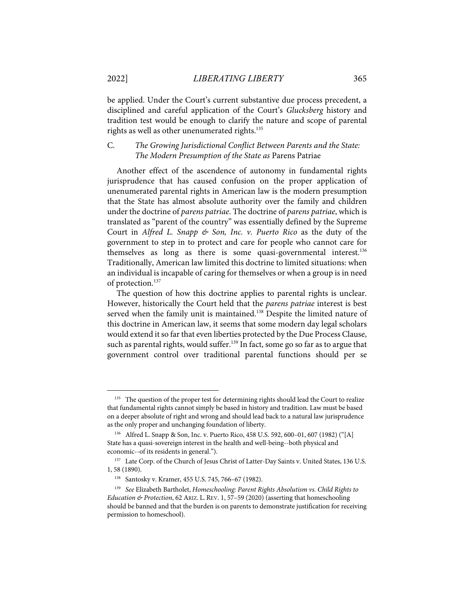be applied. Under the Court's current substantive due process precedent, a disciplined and careful application of the Court's *Glucksberg* history and tradition test would be enough to clarify the nature and scope of parental rights as well as other unenumerated rights.<sup>135</sup>

# C. *The Growing Jurisdictional Conflict Between Parents and the State: The Modern Presumption of the State as* Parens Patriae

Another effect of the ascendence of autonomy in fundamental rights jurisprudence that has caused confusion on the proper application of unenumerated parental rights in American law is the modern presumption that the State has almost absolute authority over the family and children under the doctrine of *parens patriae*. The doctrine of *parens patriae*, which is translated as "parent of the country" was essentially defined by the Supreme Court in *Alfred L. Snapp & Son, Inc. v. Puerto Rico* as the duty of the government to step in to protect and care for people who cannot care for themselves as long as there is some quasi-governmental interest.<sup>136</sup> Traditionally, American law limited this doctrine to limited situations: when an individual is incapable of caring for themselves or when a group is in need of protection.<sup>137</sup>

The question of how this doctrine applies to parental rights is unclear. However, historically the Court held that the *parens patriae* interest is best served when the family unit is maintained.<sup>138</sup> Despite the limited nature of this doctrine in American law, it seems that some modern day legal scholars would extend it so far that even liberties protected by the Due Process Clause, such as parental rights, would suffer.<sup>139</sup> In fact, some go so far as to argue that government control over traditional parental functions should per se

<sup>&</sup>lt;sup>135</sup> The question of the proper test for determining rights should lead the Court to realize that fundamental rights cannot simply be based in history and tradition. Law must be based on a deeper absolute of right and wrong and should lead back to a natural law jurisprudence as the only proper and unchanging foundation of liberty.

<sup>136</sup> Alfred L. Snapp & Son, Inc. v. Puerto Rico, 458 U.S. 592, 600–01, 607 (1982) ("[A] State has a quasi-sovereign interest in the health and well-being--both physical and economic--of its residents in general.").

<sup>&</sup>lt;sup>137</sup> Late Corp. of the Church of Jesus Christ of Latter-Day Saints v. United States, 136 U.S. 1, 58 (1890).

<sup>138</sup> Santosky v. Kramer, 455 U.S. 745, 766–67 (1982).

<sup>139</sup> *See* Elizabeth Bartholet, *Homeschooling: Parent Rights Absolutism vs. Child Rights to Education & Protection*, 62 ARIZ. L. REV. 1, 57–59 (2020) (asserting that homeschooling should be banned and that the burden is on parents to demonstrate justification for receiving permission to homeschool).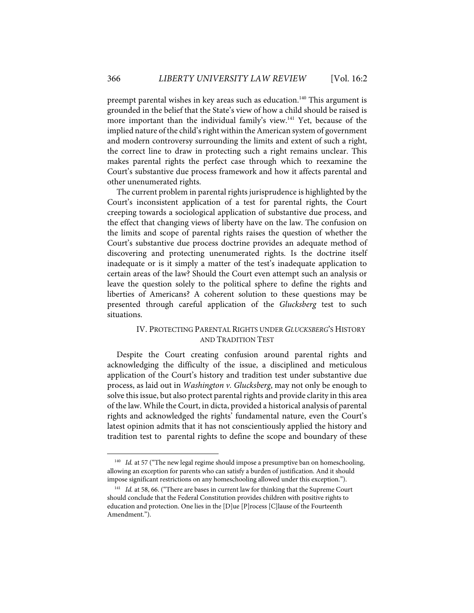preempt parental wishes in key areas such as education.<sup>140</sup> This argument is grounded in the belief that the State's view of how a child should be raised is more important than the individual family's view.<sup>141</sup> Yet, because of the implied nature of the child's right within the American system of government and modern controversy surrounding the limits and extent of such a right, the correct line to draw in protecting such a right remains unclear. This makes parental rights the perfect case through which to reexamine the Court's substantive due process framework and how it affects parental and other unenumerated rights.

The current problem in parental rights jurisprudence is highlighted by the Court's inconsistent application of a test for parental rights, the Court creeping towards a sociological application of substantive due process, and the effect that changing views of liberty have on the law. The confusion on the limits and scope of parental rights raises the question of whether the Court's substantive due process doctrine provides an adequate method of discovering and protecting unenumerated rights. Is the doctrine itself inadequate or is it simply a matter of the test's inadequate application to certain areas of the law? Should the Court even attempt such an analysis or leave the question solely to the political sphere to define the rights and liberties of Americans? A coherent solution to these questions may be presented through careful application of the *Glucksberg* test to such situations.

## IV. PROTECTING PARENTAL RIGHTS UNDER *GLUCKSBERG*'S HISTORY AND TRADITION TEST

Despite the Court creating confusion around parental rights and acknowledging the difficulty of the issue, a disciplined and meticulous application of the Court's history and tradition test under substantive due process, as laid out in *Washington v. Glucksberg*, may not only be enough to solve this issue, but also protect parental rights and provide clarity in this area of the law. While the Court, in dicta, provided a historical analysis of parental rights and acknowledged the rights' fundamental nature, even the Court's latest opinion admits that it has not conscientiously applied the history and tradition test to parental rights to define the scope and boundary of these

<sup>&</sup>lt;sup>140</sup> *Id.* at 57 ("The new legal regime should impose a presumptive ban on homeschooling, allowing an exception for parents who can satisfy a burden of justification. And it should impose significant restrictions on any homeschooling allowed under this exception.").

<sup>&</sup>lt;sup>141</sup> *Id.* at 58, 66. ("There are bases in current law for thinking that the Supreme Court should conclude that the Federal Constitution provides children with positive rights to education and protection. One lies in the [D]ue [P]rocess [C]lause of the Fourteenth Amendment.").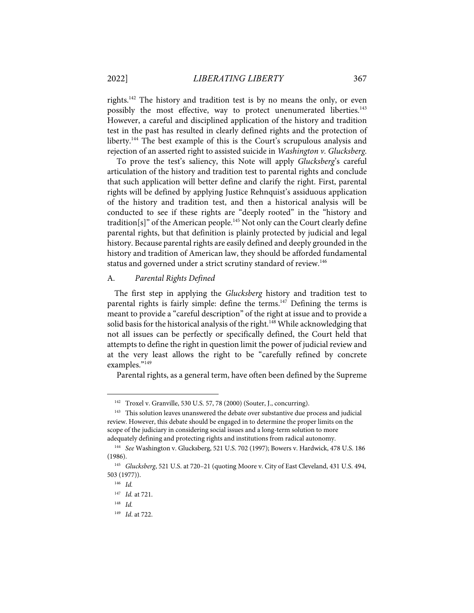rights.<sup>142</sup> The history and tradition test is by no means the only, or even possibly the most effective, way to protect unenumerated liberties.<sup>143</sup> However, a careful and disciplined application of the history and tradition test in the past has resulted in clearly defined rights and the protection of liberty.144 The best example of this is the Court's scrupulous analysis and rejection of an asserted right to assisted suicide in *Washington v. Glucksberg*.

To prove the test's saliency, this Note will apply *Glucksberg*'s careful articulation of the history and tradition test to parental rights and conclude that such application will better define and clarify the right. First, parental rights will be defined by applying Justice Rehnquist's assiduous application of the history and tradition test, and then a historical analysis will be conducted to see if these rights are "deeply rooted" in the "history and tradition[s]" of the American people.<sup>145</sup> Not only can the Court clearly define parental rights, but that definition is plainly protected by judicial and legal history. Because parental rights are easily defined and deeply grounded in the history and tradition of American law, they should be afforded fundamental status and governed under a strict scrutiny standard of review.<sup>146</sup>

# A. *Parental Rights Defined*

The first step in applying the *Glucksberg* history and tradition test to parental rights is fairly simple: define the terms.<sup>147</sup> Defining the terms is meant to provide a "careful description" of the right at issue and to provide a solid basis for the historical analysis of the right.<sup>148</sup> While acknowledging that not all issues can be perfectly or specifically defined, the Court held that attempts to define the right in question limit the power of judicial review and at the very least allows the right to be "carefully refined by concrete examples."149

Parental rights, as a general term, have often been defined by the Supreme

<sup>142</sup> Troxel v. Granville, 530 U.S. 57, 78 (2000) (Souter, J., concurring).

<sup>&</sup>lt;sup>143</sup> This solution leaves unanswered the debate over substantive due process and judicial review. However, this debate should be engaged in to determine the proper limits on the scope of the judiciary in considering social issues and a long-term solution to more adequately defining and protecting rights and institutions from radical autonomy.

<sup>144</sup> *See* Washington v. Glucksberg, 521 U.S. 702 (1997); Bowers v. Hardwick, 478 U.S. 186 (1986).

<sup>145</sup> *Glucksberg*, 521 U.S. at 720–21 (quoting Moore v. City of East Cleveland, 431 U.S. 494, 503 (1977)).

<sup>146</sup> *Id.*

<sup>147</sup> *Id.* at 721.

<sup>148</sup> *Id.*

<sup>149</sup> *Id*. at 722.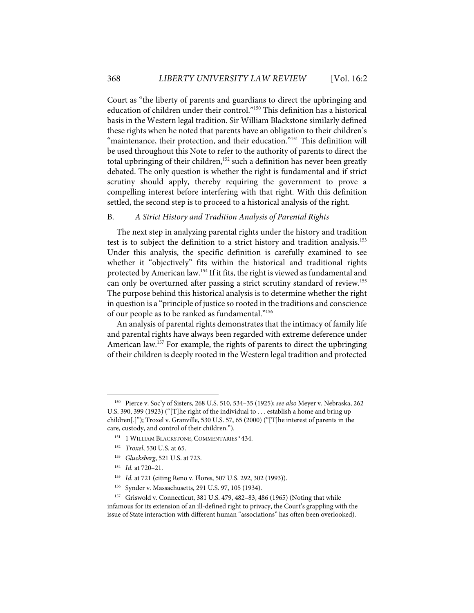Court as "the liberty of parents and guardians to direct the upbringing and education of children under their control."<sup>150</sup> This definition has a historical basis in the Western legal tradition. Sir William Blackstone similarly defined these rights when he noted that parents have an obligation to their children's "maintenance, their protection, and their education."<sup>151</sup> This definition will be used throughout this Note to refer to the authority of parents to direct the total upbringing of their children, <sup>152</sup> such a definition has never been greatly debated. The only question is whether the right is fundamental and if strict scrutiny should apply, thereby requiring the government to prove a compelling interest before interfering with that right. With this definition settled, the second step is to proceed to a historical analysis of the right.

# B. *A Strict History and Tradition Analysis of Parental Rights*

The next step in analyzing parental rights under the history and tradition test is to subject the definition to a strict history and tradition analysis.<sup>153</sup> Under this analysis, the specific definition is carefully examined to see whether it "objectively" fits within the historical and traditional rights protected by American law. <sup>154</sup> If it fits, the right is viewed as fundamental and can only be overturned after passing a strict scrutiny standard of review.<sup>155</sup> The purpose behind this historical analysis is to determine whether the right in question is a "principle of justice so rooted in the traditions and conscience of our people as to be ranked as fundamental."156

An analysis of parental rights demonstrates that the intimacy of family life and parental rights have always been regarded with extreme deference under American law.<sup>157</sup> For example, the rights of parents to direct the upbringing of their children is deeply rooted in the Western legal tradition and protected

<sup>150</sup> Pierce v. Soc'y of Sisters, 268 U.S. 510, 534–35 (1925); *see also* Meyer v. Nebraska, 262 U.S. 390, 399 (1923) ("[T]he right of the individual to . . . establish a home and bring up children[.]"); Troxel v. Granville, 530 U.S. 57, 65 (2000) ("[T]he interest of parents in the care, custody, and control of their children.").

<sup>&</sup>lt;sup>151</sup> 1 WILLIAM BLACKSTONE, COMMENTARIES \*434.

<sup>152</sup> *Troxel*, 530 U.S. at 65.

<sup>153</sup> *Glucksberg*, 521 U.S. at 723.

<sup>154</sup> *Id.* at 720–21.

<sup>155</sup> *Id.* at 721 (citing Reno v. Flores, 507 U.S. 292, 302 (1993)).

<sup>156</sup> Synder v. Massachusetts, 291 U.S. 97, 105 (1934).

<sup>&</sup>lt;sup>157</sup> Griswold v. Connecticut, 381 U.S. 479, 482-83, 486 (1965) (Noting that while infamous for its extension of an ill-defined right to privacy, the Court's grappling with the issue of State interaction with different human "associations" has often been overlooked).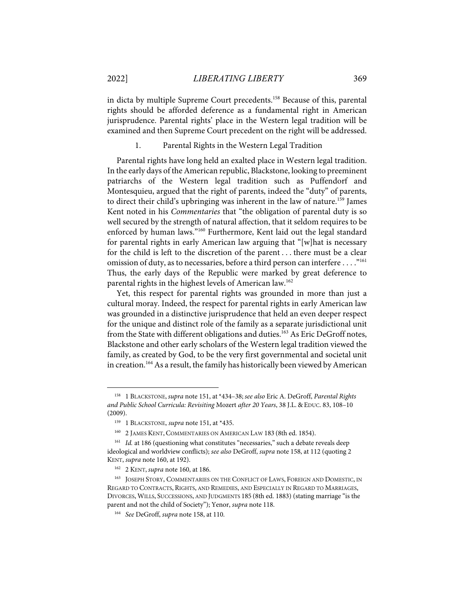in dicta by multiple Supreme Court precedents. <sup>158</sup> Because of this, parental rights should be afforded deference as a fundamental right in American jurisprudence. Parental rights' place in the Western legal tradition will be examined and then Supreme Court precedent on the right will be addressed.

1. Parental Rights in the Western Legal Tradition

Parental rights have long held an exalted place in Western legal tradition. In the early days of the American republic, Blackstone, looking to preeminent patriarchs of the Western legal tradition such as Puffendorf and Montesquieu, argued that the right of parents, indeed the "duty" of parents, to direct their child's upbringing was inherent in the law of nature.<sup>159</sup> James Kent noted in his *Commentaries* that "the obligation of parental duty is so well secured by the strength of natural affection, that it seldom requires to be enforced by human laws."<sup>160</sup> Furthermore, Kent laid out the legal standard for parental rights in early American law arguing that "[w]hat is necessary for the child is left to the discretion of the parent . . . there must be a clear omission of duty, as to necessaries, before a third person can interfere . . . ."161 Thus, the early days of the Republic were marked by great deference to parental rights in the highest levels of American law.<sup>162</sup>

Yet, this respect for parental rights was grounded in more than just a cultural moray. Indeed, the respect for parental rights in early American law was grounded in a distinctive jurisprudence that held an even deeper respect for the unique and distinct role of the family as a separate jurisdictional unit from the State with different obligations and duties.<sup>163</sup> As Eric DeGroff notes, Blackstone and other early scholars of the Western legal tradition viewed the family, as created by God, to be the very first governmental and societal unit in creation. 164As a result, the family has historically been viewed by American

<sup>158 1</sup> BLACKSTONE, *supra* note 151, at \*434–38; *see also* Eric A. DeGroff, *Parental Rights and Public School Curricula: Revisiting* Mozert *after 20 Years*, 38 J.L. & EDUC. 83, 108–10 (2009).

<sup>&</sup>lt;sup>159</sup> 1 BLACKSTONE, *supra* note 151, at \*435.

<sup>160 2</sup> JAMES KENT, COMMENTARIES ON AMERICAN LAW 183 (8th ed. 1854).

<sup>&</sup>lt;sup>161</sup> *Id.* at 186 (questioning what constitutes "necessaries," such a debate reveals deep ideological and worldview conflicts); *see also* DeGroff, *supra* note 158, at 112 (quoting 2 KENT, *supra* note 160, at 192).

<sup>162 2</sup> KENT, *supra* note 160, at 186.

<sup>&</sup>lt;sup>163</sup> JOSEPH STORY, COMMENTARIES ON THE CONFLICT OF LAWS, FOREIGN AND DOMESTIC, IN REGARD TO CONTRACTS, RIGHTS, AND REMEDIES, AND ESPECIALLY IN REGARD TO MARRIAGES, DIVORCES, WILLS, SUCCESSIONS, AND JUDGMENTS 185 (8th ed. 1883) (stating marriage "is the parent and not the child of Society"); Yenor, *supra* note 118.

<sup>164</sup> *See* DeGroff, *supra* note 158, at 110.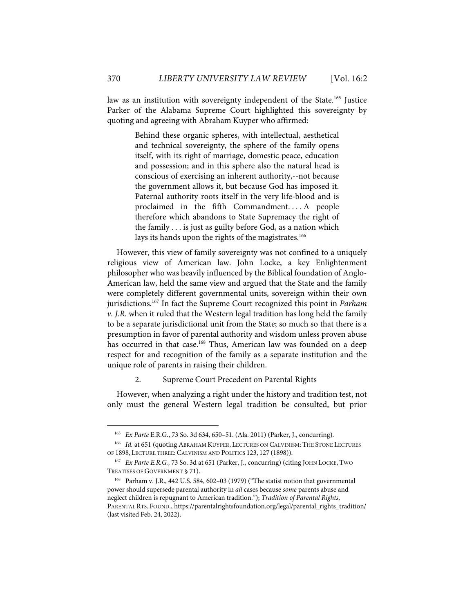law as an institution with sovereignty independent of the State.<sup>165</sup> Justice Parker of the Alabama Supreme Court highlighted this sovereignty by quoting and agreeing with Abraham Kuyper who affirmed:

> Behind these organic spheres, with intellectual, aesthetical and technical sovereignty, the sphere of the family opens itself, with its right of marriage, domestic peace, education and possession; and in this sphere also the natural head is conscious of exercising an inherent authority,--not because the government allows it, but because God has imposed it. Paternal authority roots itself in the very life-blood and is proclaimed in the fifth Commandment. . . . A people therefore which abandons to State Supremacy the right of the family . . . is just as guilty before God, as a nation which lays its hands upon the rights of the magistrates.<sup>166</sup>

However, this view of family sovereignty was not confined to a uniquely religious view of American law. John Locke, a key Enlightenment philosopher who was heavily influenced by the Biblical foundation of Anglo-American law, held the same view and argued that the State and the family were completely different governmental units, sovereign within their own jurisdictions. <sup>167</sup> In fact the Supreme Court recognized this point in *Parham v. J.R.* when it ruled that the Western legal tradition has long held the family to be a separate jurisdictional unit from the State; so much so that there is a presumption in favor of parental authority and wisdom unless proven abuse has occurred in that case.<sup>168</sup> Thus, American law was founded on a deep respect for and recognition of the family as a separate institution and the unique role of parents in raising their children.

#### 2. Supreme Court Precedent on Parental Rights

However, when analyzing a right under the history and tradition test, not only must the general Western legal tradition be consulted, but prior

<sup>165</sup> *Ex Parte* E.R.G*.*, 73 So. 3d 634, 650–51. (Ala. 2011) (Parker, J., concurring).

<sup>166</sup> *Id.* at 651 (quoting ABRAHAM KUYPER, LECTURES ON CALVINISM: THE STONE LECTURES OF 1898, LECTURE THREE: CALVINISM AND POLITICS 123, 127 (1898)).

<sup>167</sup> *Ex Parte E.R.G.*, 73 So. 3d at 651 (Parker, J., concurring) (citing JOHN LOCKE, TWO TREATISES OF GOVERNMENT § 71).

<sup>168</sup> Parham v. J.R., 442 U.S. 584, 602–03 (1979) ("The statist notion that governmental power should supersede parental authority in *all* cases because *some* parents abuse and neglect children is repugnant to American tradition."); *Tradition of Parental Rights*, PARENTAL RTS. FOUND., https://parentalrightsfoundation.org/legal/parental\_rights\_tradition/ (last visited Feb. 24, 2022).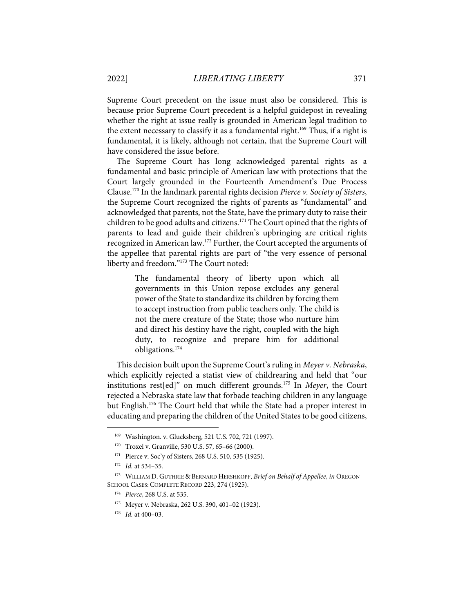Supreme Court precedent on the issue must also be considered. This is because prior Supreme Court precedent is a helpful guidepost in revealing whether the right at issue really is grounded in American legal tradition to the extent necessary to classify it as a fundamental right.<sup>169</sup> Thus, if a right is fundamental, it is likely, although not certain, that the Supreme Court will have considered the issue before.

The Supreme Court has long acknowledged parental rights as a fundamental and basic principle of American law with protections that the Court largely grounded in the Fourteenth Amendment's Due Process Clause. <sup>170</sup> In the landmark parental rights decision *Pierce v. Society of Sisters*, the Supreme Court recognized the rights of parents as "fundamental" and acknowledged that parents, not the State, have the primary duty to raise their children to be good adults and citizens.171 The Court opined that the rights of parents to lead and guide their children's upbringing are critical rights recognized in American law.<sup>172</sup> Further, the Court accepted the arguments of the appellee that parental rights are part of "the very essence of personal liberty and freedom."<sup>173</sup> The Court noted:

> The fundamental theory of liberty upon which all governments in this Union repose excludes any general power of the State to standardize its children by forcing them to accept instruction from public teachers only. The child is not the mere creature of the State; those who nurture him and direct his destiny have the right, coupled with the high duty, to recognize and prepare him for additional obligations.174

This decision built upon the Supreme Court's ruling in *Meyer v. Nebraska*, which explicitly rejected a statist view of childrearing and held that "our institutions rest[ed]" on much different grounds.175 In *Meyer*, the Court rejected a Nebraska state law that forbade teaching children in any language but English. <sup>176</sup> The Court held that while the State had a proper interest in educating and preparing the children of the United States to be good citizens,

<sup>169</sup> Washington. v. Glucksberg, 521 U.S. 702, 721 (1997).

<sup>170</sup> Troxel v. Granville, 530 U.S. 57, 65–66 (2000).

<sup>171</sup> Pierce v. Soc'y of Sisters, 268 U.S. 510, 535 (1925).

<sup>172</sup> *Id.* at 534–35.

<sup>173</sup> WILLIAM D. GUTHRIE & BERNARD HERSHKOPF, *Brief on Behalf of Appellee*, *in* OREGON SCHOOL CASES: COMPLETE RECORD 223, 274 (1925).

<sup>174</sup> *Pierce*, 268 U.S. at 535.

<sup>175</sup> Meyer v. Nebraska, 262 U.S. 390, 401–02 (1923).

<sup>176</sup> *Id.* at 400–03.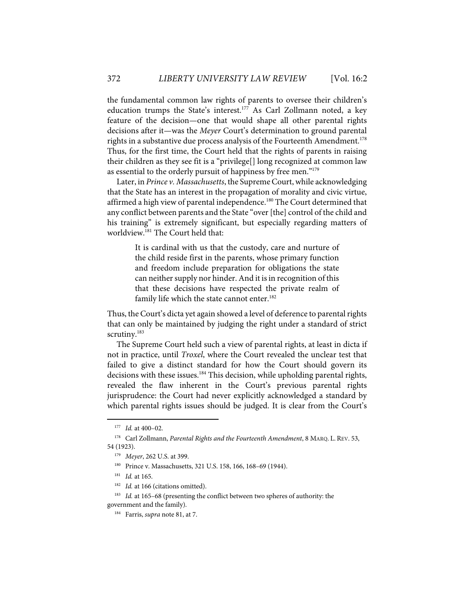the fundamental common law rights of parents to oversee their children's education trumps the State's interest. <sup>177</sup> As Carl Zollmann noted, a key feature of the decision—one that would shape all other parental rights decisions after it—was the *Meyer* Court's determination to ground parental rights in a substantive due process analysis of the Fourteenth Amendment.<sup>178</sup> Thus, for the first time, the Court held that the rights of parents in raising their children as they see fit is a "privilege[] long recognized at common law as essential to the orderly pursuit of happiness by free men."<sup>179</sup>

Later, in *Prince v. Massachusetts*, the Supreme Court, while acknowledging that the State has an interest in the propagation of morality and civic virtue, affirmed a high view of parental independence. <sup>180</sup> The Court determined that any conflict between parents and the State "over [the] control of the child and his training" is extremely significant, but especially regarding matters of worldview.181 The Court held that:

> It is cardinal with us that the custody, care and nurture of the child reside first in the parents, whose primary function and freedom include preparation for obligations the state can neither supply nor hinder. And it is in recognition of this that these decisions have respected the private realm of family life which the state cannot enter.<sup>182</sup>

Thus, the Court's dicta yet again showed a level of deference to parental rights that can only be maintained by judging the right under a standard of strict scrutiny.<sup>183</sup>

The Supreme Court held such a view of parental rights, at least in dicta if not in practice, until *Troxel*, where the Court revealed the unclear test that failed to give a distinct standard for how the Court should govern its decisions with these issues.<sup>184</sup> This decision, while upholding parental rights, revealed the flaw inherent in the Court's previous parental rights jurisprudence: the Court had never explicitly acknowledged a standard by which parental rights issues should be judged. It is clear from the Court's

<sup>177</sup> *Id.* at 400–02.

<sup>178</sup> Carl Zollmann, *Parental Rights and the Fourteenth Amendment*, 8 MARQ. L. REV. 53, 54 (1923).

<sup>179</sup> *Meyer*, 262 U.S. at 399.

<sup>&</sup>lt;sup>180</sup> Prince v. Massachusetts, 321 U.S. 158, 166, 168-69 (1944).

<sup>181</sup> *Id.* at 165.

<sup>&</sup>lt;sup>182</sup> *Id.* at 166 (citations omitted).

<sup>&</sup>lt;sup>183</sup> *Id.* at 165-68 (presenting the conflict between two spheres of authority: the government and the family).

<sup>184</sup> Farris, *supra* note 81, at 7.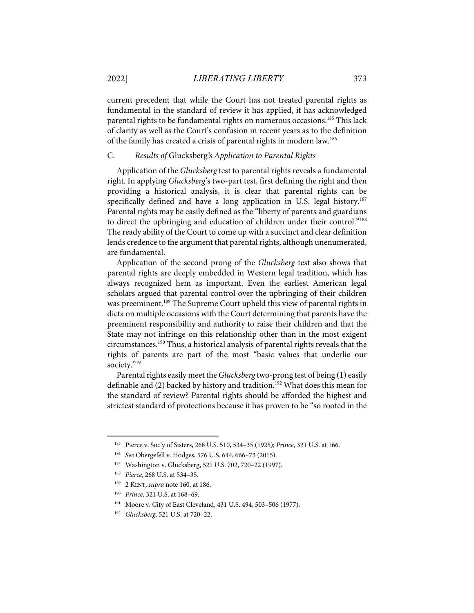current precedent that while the Court has not treated parental rights as fundamental in the standard of review it has applied, it has acknowledged parental rights to be fundamental rights on numerous occasions.<sup>185</sup> This lack of clarity as well as the Court's confusion in recent years as to the definition of the family has created a crisis of parental rights in modern law.186

#### C. *Results of* Glucksberg*'s Application to Parental Rights*

Application of the *Glucksberg* test to parental rights reveals a fundamental right. In applying *Glucksberg*'s two-part test, first defining the right and then providing a historical analysis, it is clear that parental rights can be specifically defined and have a long application in U.S. legal history.<sup>187</sup> Parental rights may be easily defined as the "liberty of parents and guardians to direct the upbringing and education of children under their control."188 The ready ability of the Court to come up with a succinct and clear definition lends credence to the argument that parental rights, although unenumerated, are fundamental.

Application of the second prong of the *Glucksberg* test also shows that parental rights are deeply embedded in Western legal tradition, which has always recognized hem as important. Even the earliest American legal scholars argued that parental control over the upbringing of their children was preeminent.<sup>189</sup> The Supreme Court upheld this view of parental rights in dicta on multiple occasions with the Court determining that parents have the preeminent responsibility and authority to raise their children and that the State may not infringe on this relationship other than in the most exigent circumstances.190 Thus, a historical analysis of parental rights reveals that the rights of parents are part of the most "basic values that underlie our society."<sup>191</sup>

Parental rights easily meet the *Glucksberg* two-prong test of being (1) easily definable and (2) backed by history and tradition.<sup>192</sup> What does this mean for the standard of review? Parental rights should be afforded the highest and strictest standard of protections because it has proven to be "so rooted in the

<sup>185</sup> Pierce v. Soc'y of Sisters, 268 U.S. 510, 534–35 (1925); *Prince*, 321 U.S. at 166.

<sup>186</sup> *See* Obergefell v. Hodges, 576 U.S. 644, 666–73 (2015).

<sup>187</sup> Washington v. Glucksberg, 521 U.S. 702, 720–22 (1997).

<sup>188</sup> *Pierce*, 268 U.S. at 534–35.

<sup>189 2</sup> KENT, *supra* note 160, at 186.

<sup>190</sup> *Prince*, 321 U.S. at 168–69.

<sup>191</sup> Moore v. City of East Cleveland, 431 U.S. 494, 503–506 (1977).

<sup>192</sup> *Glucksberg*, 521 U.S. at 720–22.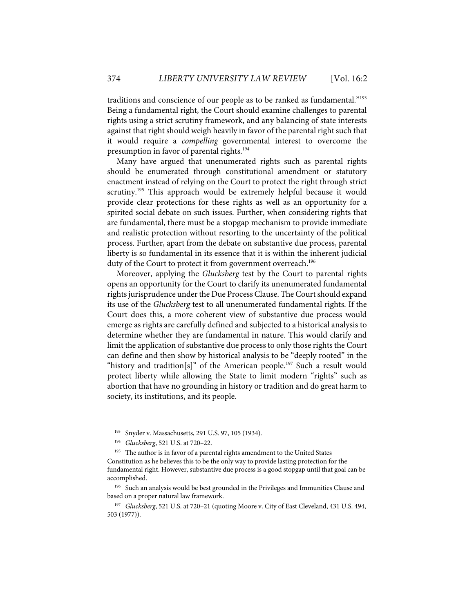traditions and conscience of our people as to be ranked as fundamental."193 Being a fundamental right, the Court should examine challenges to parental rights using a strict scrutiny framework, and any balancing of state interests against that right should weigh heavily in favor of the parental right such that it would require a *compelling* governmental interest to overcome the presumption in favor of parental rights.194

Many have argued that unenumerated rights such as parental rights should be enumerated through constitutional amendment or statutory enactment instead of relying on the Court to protect the right through strict scrutiny.<sup>195</sup> This approach would be extremely helpful because it would provide clear protections for these rights as well as an opportunity for a spirited social debate on such issues. Further, when considering rights that are fundamental, there must be a stopgap mechanism to provide immediate and realistic protection without resorting to the uncertainty of the political process. Further, apart from the debate on substantive due process, parental liberty is so fundamental in its essence that it is within the inherent judicial duty of the Court to protect it from government overreach. 196

Moreover, applying the *Glucksberg* test by the Court to parental rights opens an opportunity for the Court to clarify its unenumerated fundamental rights jurisprudence under the Due Process Clause. The Court should expand its use of the *Glucksberg* test to all unenumerated fundamental rights. If the Court does this, a more coherent view of substantive due process would emerge as rights are carefully defined and subjected to a historical analysis to determine whether they are fundamental in nature. This would clarify and limit the application of substantive due process to only those rights the Court can define and then show by historical analysis to be "deeply rooted" in the "history and tradition[s]" of the American people.<sup>197</sup> Such a result would protect liberty while allowing the State to limit modern "rights" such as abortion that have no grounding in history or tradition and do great harm to society, its institutions, and its people.

<sup>&</sup>lt;sup>193</sup> Snyder v. Massachusetts, 291 U.S. 97, 105 (1934).

<sup>194</sup> *Glucksberg*, 521 U.S. at 720–22.

<sup>&</sup>lt;sup>195</sup> The author is in favor of a parental rights amendment to the United States Constitution as he believes this to be the only way to provide lasting protection for the fundamental right. However, substantive due process is a good stopgap until that goal can be accomplished.

<sup>&</sup>lt;sup>196</sup> Such an analysis would be best grounded in the Privileges and Immunities Clause and based on a proper natural law framework.

<sup>197</sup> *Glucksberg*, 521 U.S. at 720–21 (quoting Moore v. City of East Cleveland, 431 U.S. 494, 503 (1977)).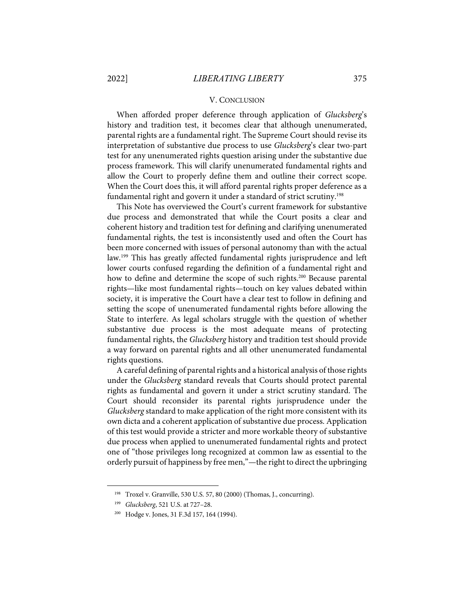#### V. CONCLUSION

When afforded proper deference through application of *Glucksberg*'s history and tradition test, it becomes clear that although unenumerated, parental rights are a fundamental right. The Supreme Court should revise its interpretation of substantive due process to use *Glucksberg*'s clear two-part test for any unenumerated rights question arising under the substantive due process framework. This will clarify unenumerated fundamental rights and allow the Court to properly define them and outline their correct scope. When the Court does this, it will afford parental rights proper deference as a fundamental right and govern it under a standard of strict scrutiny.<sup>198</sup>

This Note has overviewed the Court's current framework for substantive due process and demonstrated that while the Court posits a clear and coherent history and tradition test for defining and clarifying unenumerated fundamental rights, the test is inconsistently used and often the Court has been more concerned with issues of personal autonomy than with the actual law.<sup>199</sup> This has greatly affected fundamental rights jurisprudence and left lower courts confused regarding the definition of a fundamental right and how to define and determine the scope of such rights. <sup>200</sup> Because parental rights—like most fundamental rights—touch on key values debated within society, it is imperative the Court have a clear test to follow in defining and setting the scope of unenumerated fundamental rights before allowing the State to interfere. As legal scholars struggle with the question of whether substantive due process is the most adequate means of protecting fundamental rights, the *Glucksberg* history and tradition test should provide a way forward on parental rights and all other unenumerated fundamental rights questions.

A careful defining of parental rights and a historical analysis of those rights under the *Glucksberg* standard reveals that Courts should protect parental rights as fundamental and govern it under a strict scrutiny standard. The Court should reconsider its parental rights jurisprudence under the *Glucksberg* standard to make application of the right more consistent with its own dicta and a coherent application of substantive due process. Application of this test would provide a stricter and more workable theory of substantive due process when applied to unenumerated fundamental rights and protect one of "those privileges long recognized at common law as essential to the orderly pursuit of happiness by free men,"—the right to direct the upbringing

<sup>198</sup> Troxel v. Granville, 530 U.S. 57, 80 (2000) (Thomas, J., concurring).

<sup>199</sup> *Glucksberg*, 521 U.S. at 727–28.

<sup>200</sup> Hodge v. Jones, 31 F.3d 157, 164 (1994).